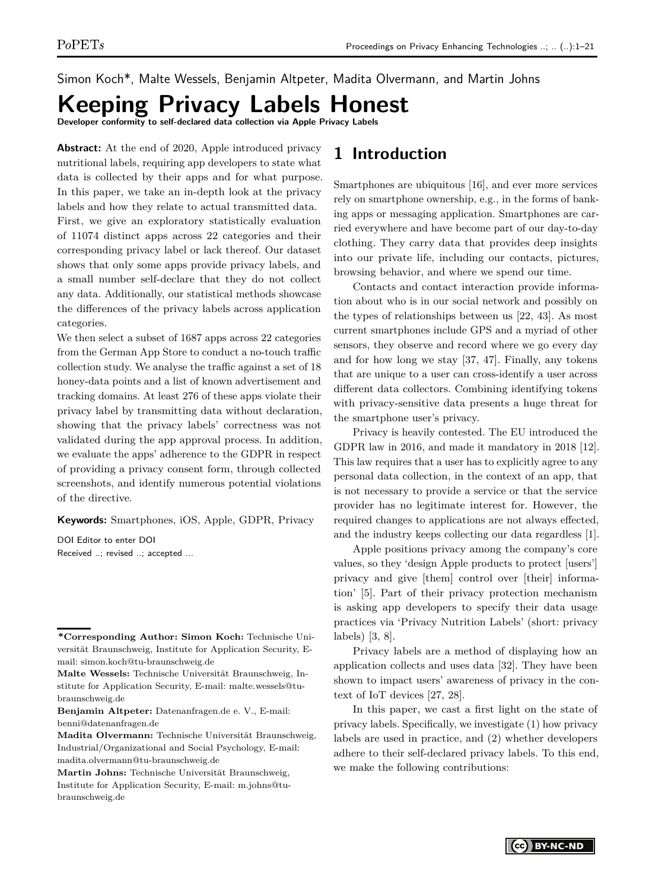Simon Koch\*, Malte Wessels, Benjamin Altpeter, Madita Olvermann, and Martin Johns

# **Keeping Privacy Labels Honest**

**Developer conformity to self-declared data collection via Apple Privacy Labels**

**Abstract:** At the end of 2020, Apple introduced privacy nutritional labels, requiring app developers to state what data is collected by their apps and for what purpose. In this paper, we take an in-depth look at the privacy labels and how they relate to actual transmitted data. First, we give an exploratory statistically evaluation of 11074 distinct apps across 22 categories and their corresponding privacy label or lack thereof. Our dataset shows that only some apps provide privacy labels, and a small number self-declare that they do not collect any data. Additionally, our statistical methods showcase the differences of the privacy labels across application categories.

We then select a subset of 1687 apps across 22 categories from the German App Store to conduct a no-touch traffic collection study. We analyse the traffic against a set of 18 honey-data points and a list of known advertisement and tracking domains. At least 276 of these apps violate their privacy label by transmitting data without declaration, showing that the privacy labels' correctness was not validated during the app approval process. In addition, we evaluate the apps' adherence to the GDPR in respect of providing a privacy consent form, through collected screenshots, and identify numerous potential violations of the directive.

**Keywords:** Smartphones, iOS, Apple, GDPR, Privacy

DOI Editor to enter DOI Received ..; revised ..; accepted ...

## **1 Introduction**

Smartphones are ubiquitous [\[16\]](#page-16-0), and ever more services rely on smartphone ownership, e.g., in the forms of banking apps or messaging application. Smartphones are carried everywhere and have become part of our day-to-day clothing. They carry data that provides deep insights into our private life, including our contacts, pictures, browsing behavior, and where we spend our time.

Contacts and contact interaction provide information about who is in our social network and possibly on the types of relationships between us [\[22,](#page-16-1) [43\]](#page-17-0). As most current smartphones include GPS and a myriad of other sensors, they observe and record where we go every day and for how long we stay [\[37,](#page-17-1) [47\]](#page-17-2). Finally, any tokens that are unique to a user can cross-identify a user across different data collectors. Combining identifying tokens with privacy-sensitive data presents a huge threat for the smartphone user's privacy.

Privacy is heavily contested. The EU introduced the GDPR law in 2016, and made it mandatory in 2018 [\[12\]](#page-16-2). This law requires that a user has to explicitly agree to any personal data collection, in the context of an app, that is not necessary to provide a service or that the service provider has no legitimate interest for. However, the required changes to applications are not always effected, and the industry keeps collecting our data regardless [\[1\]](#page-16-3).

Apple positions privacy among the company's core values, so they 'design Apple products to protect [users'] privacy and give [them] control over [their] information' [\[5\]](#page-16-4). Part of their privacy protection mechanism is asking app developers to specify their data usage practices via 'Privacy Nutrition Labels' (short: privacy labels) [\[3,](#page-16-5) [8\]](#page-16-6).

Privacy labels are a method of displaying how an application collects and uses data [\[32\]](#page-16-7). They have been shown to impact users' awareness of privacy in the context of IoT devices [\[27,](#page-16-8) [28\]](#page-16-9).

In this paper, we cast a first light on the state of privacy labels. Specifically, we investigate (1) how privacy labels are used in practice, and (2) whether developers adhere to their self-declared privacy labels. To this end, we make the following contributions:

**<sup>\*</sup>Corresponding Author: Simon Koch:** Technische Universität Braunschweig, Institute for Application Security, Email: simon.koch@tu-braunschweig.de

**Malte Wessels:** Technische Universität Braunschweig, Institute for Application Security, E-mail: malte.wessels@tubraunschweig.de

**Benjamin Altpeter:** Datenanfragen.de e. V., E-mail: benni@datenanfragen.de

**Madita Olvermann:** Technische Universität Braunschweig, Industrial/Organizational and Social Psychology, E-mail: madita.olvermann@tu-braunschweig.de

**Martin Johns:** Technische Universität Braunschweig, Institute for Application Security, E-mail: m.johns@tubraunschweig.de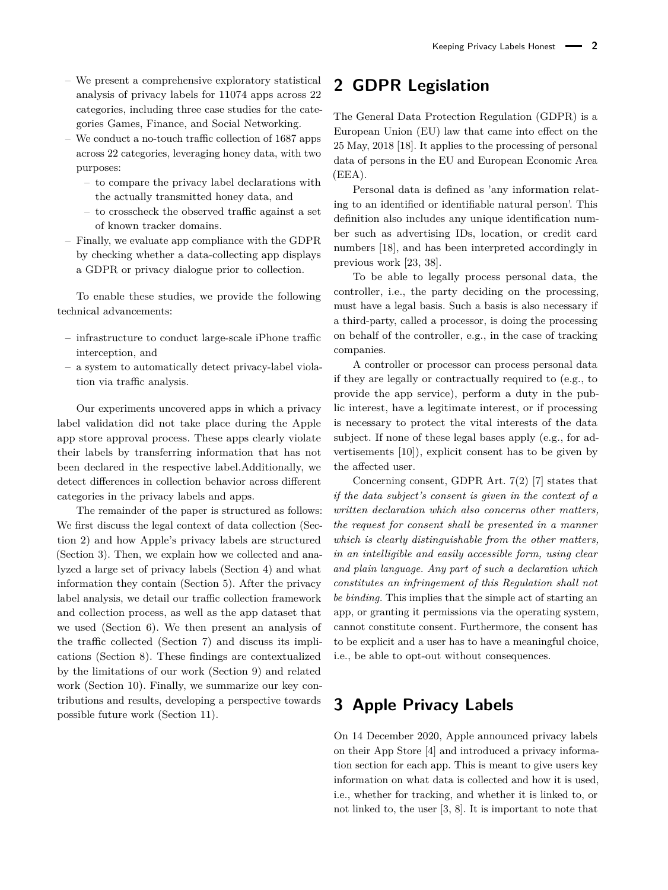- We present a comprehensive exploratory statistical analysis of privacy labels for 11074 apps across 22 categories, including three case studies for the categories Games, Finance, and Social Networking.
- We conduct a no-touch traffic collection of 1687 apps across 22 categories, leveraging honey data, with two purposes:
	- to compare the privacy label declarations with the actually transmitted honey data, and
	- to crosscheck the observed traffic against a set of known tracker domains.
- Finally, we evaluate app compliance with the GDPR by checking whether a data-collecting app displays a GDPR or privacy dialogue prior to collection.

To enable these studies, we provide the following technical advancements:

- infrastructure to conduct large-scale iPhone traffic interception, and
- a system to automatically detect privacy-label violation via traffic analysis.

Our experiments uncovered apps in which a privacy label validation did not take place during the Apple app store approval process. These apps clearly violate their labels by transferring information that has not been declared in the respective label.Additionally, we detect differences in collection behavior across different categories in the privacy labels and apps.

The remainder of the paper is structured as follows: We first discuss the legal context of data collection (Section [2\)](#page-1-0) and how Apple's privacy labels are structured (Section [3\)](#page-1-1). Then, we explain how we collected and analyzed a large set of privacy labels (Section [4\)](#page-3-0) and what information they contain (Section [5\)](#page-6-0). After the privacy label analysis, we detail our traffic collection framework and collection process, as well as the app dataset that we used (Section [6\)](#page-9-0). We then present an analysis of the traffic collected (Section [7\)](#page-10-0) and discuss its implications (Section [8\)](#page-12-0). These findings are contextualized by the limitations of our work (Section [9\)](#page-14-0) and related work (Section [10\)](#page-14-1). Finally, we summarize our key contributions and results, developing a perspective towards possible future work (Section [11\)](#page-15-0).

## <span id="page-1-0"></span>**2 GDPR Legislation**

The General Data Protection Regulation (GDPR) is a European Union (EU) law that came into effect on the 25 May, 2018 [\[18\]](#page-16-10). It applies to the processing of personal data of persons in the EU and European Economic Area (EEA).

Personal data is defined as 'any information relating to an identified or identifiable natural person'. This definition also includes any unique identification number such as advertising IDs, location, or credit card numbers [\[18\]](#page-16-10), and has been interpreted accordingly in previous work [\[23,](#page-16-11) [38\]](#page-17-3).

To be able to legally process personal data, the controller, i.e., the party deciding on the processing, must have a legal basis. Such a basis is also necessary if a third-party, called a processor, is doing the processing on behalf of the controller, e.g., in the case of tracking companies.

A controller or processor can process personal data if they are legally or contractually required to (e.g., to provide the app service), perform a duty in the public interest, have a legitimate interest, or if processing is necessary to protect the vital interests of the data subject. If none of these legal bases apply (e.g., for advertisements [\[10\]](#page-16-12)), explicit consent has to be given by the affected user.

Concerning consent, GDPR Art. 7(2) [\[7\]](#page-16-13) states that *if the data subject's consent is given in the context of a written declaration which also concerns other matters, the request for consent shall be presented in a manner which is clearly distinguishable from the other matters, in an intelligible and easily accessible form, using clear and plain language. Any part of such a declaration which constitutes an infringement of this Regulation shall not be binding.* This implies that the simple act of starting an app, or granting it permissions via the operating system, cannot constitute consent. Furthermore, the consent has to be explicit and a user has to have a meaningful choice, i.e., be able to opt-out without consequences.

## <span id="page-1-1"></span>**3 Apple Privacy Labels**

On 14 December 2020, Apple announced privacy labels on their App Store [\[4\]](#page-16-14) and introduced a privacy information section for each app. This is meant to give users key information on what data is collected and how it is used, i.e., whether for tracking, and whether it is linked to, or not linked to, the user [\[3,](#page-16-5) [8\]](#page-16-6). It is important to note that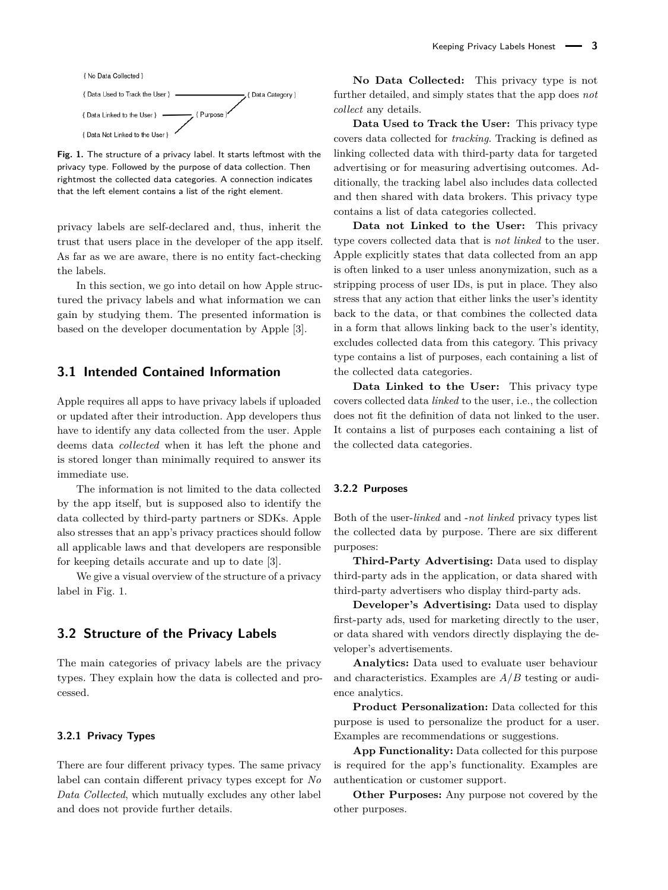<span id="page-2-0"></span>

**Fig. 1.** The structure of a privacy label. It starts leftmost with the privacy type. Followed by the purpose of data collection. Then rightmost the collected data categories. A connection indicates that the left element contains a list of the right element.

privacy labels are self-declared and, thus, inherit the trust that users place in the developer of the app itself. As far as we are aware, there is no entity fact-checking the labels.

In this section, we go into detail on how Apple structured the privacy labels and what information we can gain by studying them. The presented information is based on the developer documentation by Apple [\[3\]](#page-16-5).

## **3.1 Intended Contained Information**

Apple requires all apps to have privacy labels if uploaded or updated after their introduction. App developers thus have to identify any data collected from the user. Apple deems data *collected* when it has left the phone and is stored longer than minimally required to answer its immediate use.

The information is not limited to the data collected by the app itself, but is supposed also to identify the data collected by third-party partners or SDKs. Apple also stresses that an app's privacy practices should follow all applicable laws and that developers are responsible for keeping details accurate and up to date [\[3\]](#page-16-5).

We give a visual overview of the structure of a privacy label in Fig. [1.](#page-2-0)

### **3.2 Structure of the Privacy Labels**

The main categories of privacy labels are the privacy types. They explain how the data is collected and processed.

### **3.2.1 Privacy Types**

There are four different privacy types. The same privacy label can contain different privacy types except for *No Data Collected*, which mutually excludes any other label and does not provide further details.

**No Data Collected:** This privacy type is not further detailed, and simply states that the app does *not collect* any details.

**Data Used to Track the User:** This privacy type covers data collected for *tracking*. Tracking is defined as linking collected data with third-party data for targeted advertising or for measuring advertising outcomes. Additionally, the tracking label also includes data collected and then shared with data brokers. This privacy type contains a list of data categories collected.

**Data not Linked to the User:** This privacy type covers collected data that is *not linked* to the user. Apple explicitly states that data collected from an app is often linked to a user unless anonymization, such as a stripping process of user IDs, is put in place. They also stress that any action that either links the user's identity back to the data, or that combines the collected data in a form that allows linking back to the user's identity, excludes collected data from this category. This privacy type contains a list of purposes, each containing a list of the collected data categories.

**Data Linked to the User:** This privacy type covers collected data *linked* to the user, i.e., the collection does not fit the definition of data not linked to the user. It contains a list of purposes each containing a list of the collected data categories.

#### **3.2.2 Purposes**

Both of the user-*linked* and -*not linked* privacy types list the collected data by purpose. There are six different purposes:

**Third-Party Advertising:** Data used to display third-party ads in the application, or data shared with third-party advertisers who display third-party ads.

**Developer's Advertising:** Data used to display first-party ads, used for marketing directly to the user, or data shared with vendors directly displaying the developer's advertisements.

**Analytics:** Data used to evaluate user behaviour and characteristics. Examples are *A*/*B* testing or audience analytics.

**Product Personalization:** Data collected for this purpose is used to personalize the product for a user. Examples are recommendations or suggestions.

**App Functionality:** Data collected for this purpose is required for the app's functionality. Examples are authentication or customer support.

**Other Purposes:** Any purpose not covered by the other purposes.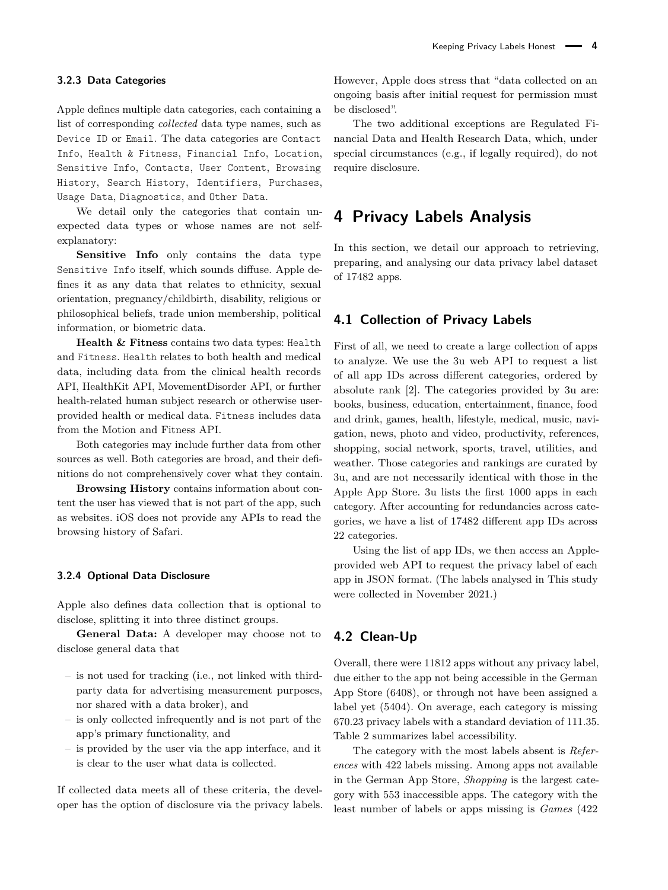### **3.2.3 Data Categories**

Apple defines multiple data categories, each containing a list of corresponding *collected* data type names, such as Device ID or Email. The data categories are Contact Info, Health & Fitness, Financial Info, Location, Sensitive Info, Contacts, User Content, Browsing History, Search History, Identifiers, Purchases, Usage Data, Diagnostics, and Other Data.

We detail only the categories that contain unexpected data types or whose names are not selfexplanatory:

**Sensitive Info** only contains the data type Sensitive Info itself, which sounds diffuse. Apple defines it as any data that relates to ethnicity, sexual orientation, pregnancy/childbirth, disability, religious or philosophical beliefs, trade union membership, political information, or biometric data.

**Health & Fitness** contains two data types: Health and Fitness. Health relates to both health and medical data, including data from the clinical health records API, HealthKit API, MovementDisorder API, or further health-related human subject research or otherwise userprovided health or medical data. Fitness includes data from the Motion and Fitness API.

Both categories may include further data from other sources as well. Both categories are broad, and their definitions do not comprehensively cover what they contain.

**Browsing History** contains information about content the user has viewed that is not part of the app, such as websites. iOS does not provide any APIs to read the browsing history of Safari.

#### **3.2.4 Optional Data Disclosure**

Apple also defines data collection that is optional to disclose, splitting it into three distinct groups.

**General Data:** A developer may choose not to disclose general data that

- is not used for tracking (i.e., not linked with thirdparty data for advertising measurement purposes, nor shared with a data broker), and
- is only collected infrequently and is not part of the app's primary functionality, and
- is provided by the user via the app interface, and it is clear to the user what data is collected.

If collected data meets all of these criteria, the developer has the option of disclosure via the privacy labels.

However, Apple does stress that "data collected on an ongoing basis after initial request for permission must be disclosed".

The two additional exceptions are Regulated Financial Data and Health Research Data, which, under special circumstances (e.g., if legally required), do not require disclosure.

## <span id="page-3-0"></span>**4 Privacy Labels Analysis**

In this section, we detail our approach to retrieving, preparing, and analysing our data privacy label dataset of 17482 apps.

### **4.1 Collection of Privacy Labels**

First of all, we need to create a large collection of apps to analyze. We use the 3u web API to request a list of all app IDs across different categories, ordered by absolute rank [\[2\]](#page-16-15). The categories provided by 3u are: books, business, education, entertainment, finance, food and drink, games, health, lifestyle, medical, music, navigation, news, photo and video, productivity, references, shopping, social network, sports, travel, utilities, and weather. Those categories and rankings are curated by 3u, and are not necessarily identical with those in the Apple App Store. 3u lists the first 1000 apps in each category. After accounting for redundancies across categories, we have a list of 17482 different app IDs across 22 categories.

Using the list of app IDs, we then access an Appleprovided web API to request the privacy label of each app in JSON format. (The labels analysed in This study were collected in November 2021.)

### **4.2 Clean-Up**

Overall, there were 11812 apps without any privacy label, due either to the app not being accessible in the German App Store (6408), or through not have been assigned a label yet (5404). On average, each category is missing 670.23 privacy labels with a standard deviation of 111.35. Table [2](#page-4-0) summarizes label accessibility.

The category with the most labels absent is *References* with 422 labels missing. Among apps not available in the German App Store, *Shopping* is the largest category with 553 inaccessible apps. The category with the least number of labels or apps missing is *Games* (422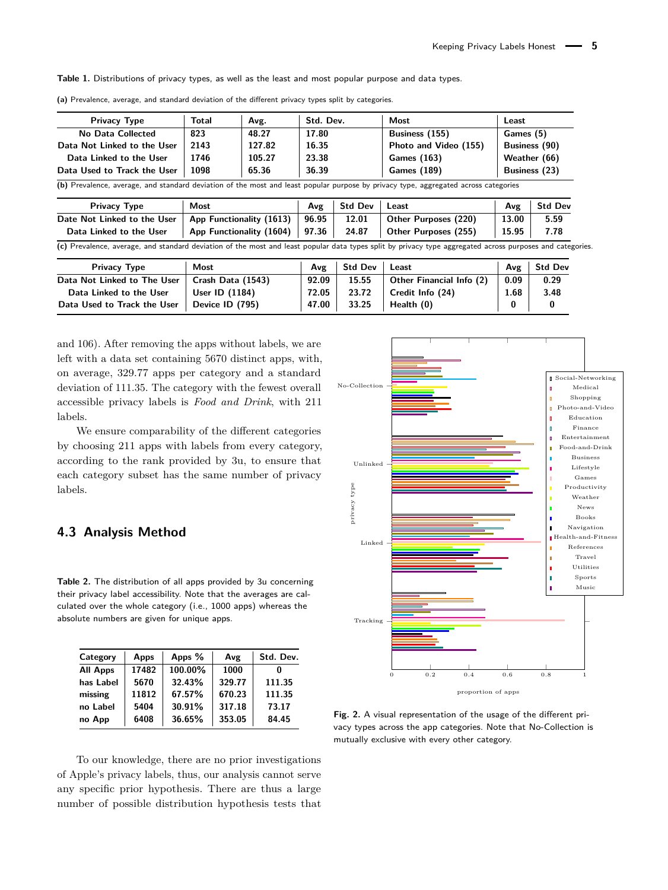<span id="page-4-2"></span>**Table 1.** Distributions of privacy types, as well as the least and most popular purpose and data types.

| <b>Privacy Type</b>                                                                                                                 | Total       | Avg.                     | Std. Dev.               |                | <b>Most</b>           | Least |                                                |  |
|-------------------------------------------------------------------------------------------------------------------------------------|-------------|--------------------------|-------------------------|----------------|-----------------------|-------|------------------------------------------------|--|
| No Data Collected                                                                                                                   | 823         | 48.27                    | 17.80                   |                | Business (155)        |       | Games (5)                                      |  |
| Data Not Linked to the User                                                                                                         | 2143        | 127.82                   | 16.35<br>23.38<br>36.39 |                | Photo and Video (155) |       | Business (90)<br>Weather (66)<br>Business (23) |  |
| Data Linked to the User                                                                                                             | 1746        | 105.27                   |                         |                | <b>Games (163)</b>    |       |                                                |  |
| Data Used to Track the User                                                                                                         | 1098        | 65.36                    |                         |                | <b>Games (189)</b>    |       |                                                |  |
|                                                                                                                                     |             |                          |                         |                |                       |       |                                                |  |
| (b) Prevalence, average, and standard deviation of the most and least popular purpose by privacy type, aggregated across categories |             |                          |                         |                |                       |       |                                                |  |
| Privacy Type                                                                                                                        | <b>Most</b> |                          | Avg                     | <b>Std Dev</b> | Least                 | Avg   |                                                |  |
| Date Not Linked to the User                                                                                                         |             | App Functionality (1613) | 96.95                   | 12.01          | Other Purposes (220)  | 13.00 | <b>Std Dev</b><br>5.59                         |  |

**(a)** Prevalence, average, and standard deviation of the different privacy types split by categories.

| <b>Privacy Type</b>         | Most              | Ανε   | Std Dev | Least                    | Avg  | Std Dev |
|-----------------------------|-------------------|-------|---------|--------------------------|------|---------|
| Data Not Linked to The User | Crash Data (1543) | 92.09 | 15.55   | Other Financial Info (2) | 0.09 | 0.29    |
| Data Linked to the User     | User ID $(1184)$  | 72.05 | 23.72   | Credit Info (24)         | 1.68 | 3.48    |
| Data Used to Track the User | Device ID (795)   | 47.00 | 33.25   | Health (0)               | 0    | 0       |

and 106). After removing the apps without labels, we are left with a data set containing 5670 distinct apps, with, on average, 329.77 apps per category and a standard deviation of 111.35. The category with the fewest overall accessible privacy labels is *Food and Drink*, with 211 labels.

We ensure comparability of the different categories by choosing 211 apps with labels from every category, according to the rank provided by 3u, to ensure that each category subset has the same number of privacy labels.

## **4.3 Analysis Method**

<span id="page-4-0"></span>**Table 2.** The distribution of all apps provided by 3u concerning their privacy label accessibility. Note that the averages are calculated over the whole category (i.e., 1000 apps) whereas the absolute numbers are given for unique apps.

| Category        | Apps  | Apps %  | Avg    | Std. Dev. |
|-----------------|-------|---------|--------|-----------|
| <b>All Apps</b> | 17482 | 100.00% | 1000   |           |
| has Label       | 5670  | 32.43%  | 329.77 | 111.35    |
| missing         | 11812 | 67.57%  | 670.23 | 111.35    |
| no Label        | 5404  | 30.91%  | 317.18 | 73.17     |
| no App          | 6408  | 36.65%  | 353.05 | 84.45     |

To our knowledge, there are no prior investigations of Apple's privacy labels, thus, our analysis cannot serve any specific prior hypothesis. There are thus a large number of possible distribution hypothesis tests that

<span id="page-4-1"></span>

**Fig. 2.** A visual representation of the usage of the different privacy types across the app categories. Note that No-Collection is mutually exclusive with every other category.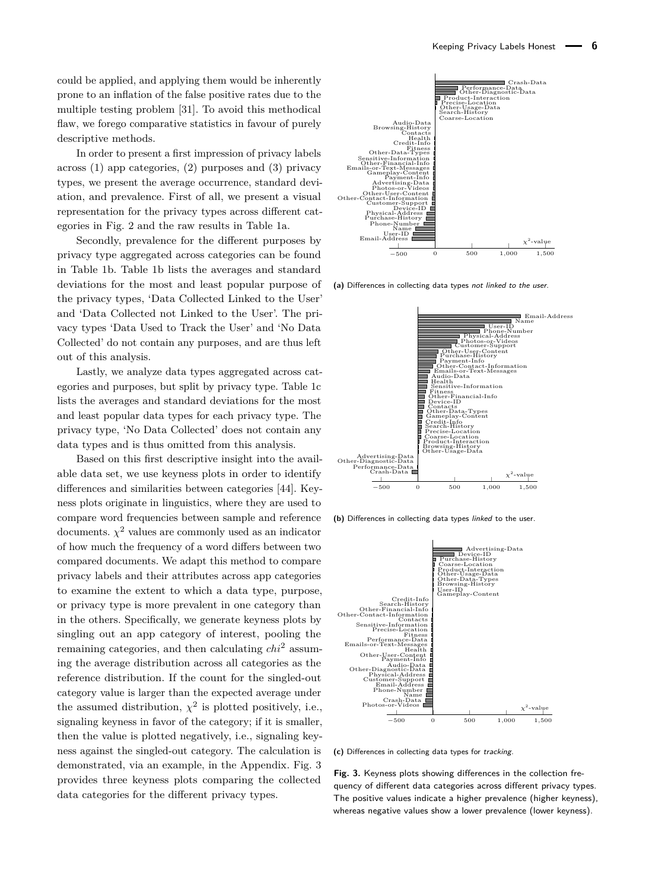could be applied, and applying them would be inherently prone to an inflation of the false positive rates due to the multiple testing problem [\[31\]](#page-16-16). To avoid this methodical flaw, we forego comparative statistics in favour of purely descriptive methods.

In order to present a first impression of privacy labels across (1) app categories, (2) purposes and (3) privacy types, we present the average occurrence, standard deviation, and prevalence. First of all, we present a visual representation for the privacy types across different categories in Fig. [2](#page-4-1) and the raw results in Table [1a.](#page-4-2)

Secondly, prevalence for the different purposes by privacy type aggregated across categories can be found in Table [1b.](#page-4-2) Table [1b](#page-4-2) lists the averages and standard deviations for the most and least popular purpose of the privacy types, 'Data Collected Linked to the User' and 'Data Collected not Linked to the User'. The privacy types 'Data Used to Track the User' and 'No Data Collected' do not contain any purposes, and are thus left out of this analysis.

Lastly, we analyze data types aggregated across categories and purposes, but split by privacy type. Table [1c](#page-4-2) lists the averages and standard deviations for the most and least popular data types for each privacy type. The privacy type, 'No Data Collected' does not contain any data types and is thus omitted from this analysis.

Based on this first descriptive insight into the available data set, we use keyness plots in order to identify differences and similarities between categories [\[44\]](#page-17-4). Keyness plots originate in linguistics, where they are used to compare word frequencies between sample and reference documents.  $\chi^2$  values are commonly used as an indicator of how much the frequency of a word differs between two compared documents. We adapt this method to compare privacy labels and their attributes across app categories to examine the extent to which a data type, purpose, or privacy type is more prevalent in one category than in the others. Specifically, we generate keyness plots by singling out an app category of interest, pooling the remaining categories, and then calculating *chi*<sup>2</sup> assuming the average distribution across all categories as the reference distribution. If the count for the singled-out category value is larger than the expected average under the assumed distribution,  $\chi^2$  is plotted positively, i.e., signaling keyness in favor of the category; if it is smaller, then the value is plotted negatively, i.e., signaling keyness against the singled-out category. The calculation is demonstrated, via an example, in the Appendix. Fig. [3](#page-5-0) provides three keyness plots comparing the collected data categories for the different privacy types.

<span id="page-5-0"></span>

**(a)** Differences in collecting data types not linked to the user.



**(b)** Differences in collecting data types linked to the user.



**(c)** Differences in collecting data types for tracking.

**Fig. 3.** Keyness plots showing differences in the collection frequency of different data categories across different privacy types. The positive values indicate a higher prevalence (higher keyness), whereas negative values show a lower prevalence (lower keyness).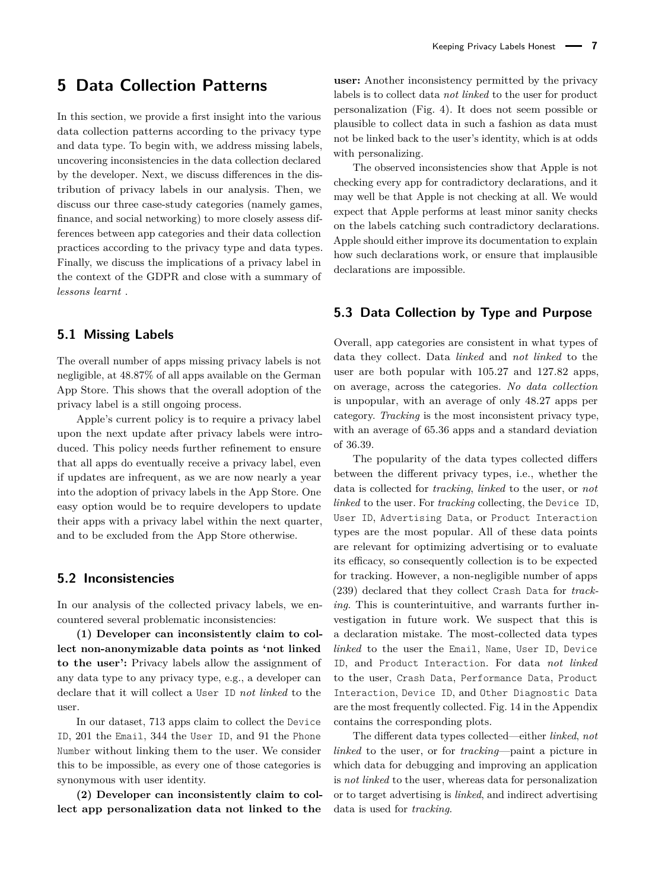## <span id="page-6-0"></span>**5 Data Collection Patterns**

In this section, we provide a first insight into the various data collection patterns according to the privacy type and data type. To begin with, we address missing labels, uncovering inconsistencies in the data collection declared by the developer. Next, we discuss differences in the distribution of privacy labels in our analysis. Then, we discuss our three case-study categories (namely games, finance, and social networking) to more closely assess differences between app categories and their data collection practices according to the privacy type and data types. Finally, we discuss the implications of a privacy label in the context of the GDPR and close with a summary of *lessons learnt* .

### **5.1 Missing Labels**

The overall number of apps missing privacy labels is not negligible, at 48.87% of all apps available on the German App Store. This shows that the overall adoption of the privacy label is a still ongoing process.

Apple's current policy is to require a privacy label upon the next update after privacy labels were introduced. This policy needs further refinement to ensure that all apps do eventually receive a privacy label, even if updates are infrequent, as we are now nearly a year into the adoption of privacy labels in the App Store. One easy option would be to require developers to update their apps with a privacy label within the next quarter, and to be excluded from the App Store otherwise.

### **5.2 Inconsistencies**

In our analysis of the collected privacy labels, we encountered several problematic inconsistencies:

**(1) Developer can inconsistently claim to collect non-anonymizable data points as 'not linked to the user':** Privacy labels allow the assignment of any data type to any privacy type, e.g., a developer can declare that it will collect a User ID *not linked* to the user.

In our dataset, 713 apps claim to collect the Device ID, 201 the Email, 344 the User ID, and 91 the Phone Number without linking them to the user. We consider this to be impossible, as every one of those categories is synonymous with user identity.

**(2) Developer can inconsistently claim to collect app personalization data not linked to the**

**user:** Another inconsistency permitted by the privacy labels is to collect data *not linked* to the user for product personalization (Fig. [4\)](#page-7-0). It does not seem possible or plausible to collect data in such a fashion as data must not be linked back to the user's identity, which is at odds with personalizing.

The observed inconsistencies show that Apple is not checking every app for contradictory declarations, and it may well be that Apple is not checking at all. We would expect that Apple performs at least minor sanity checks on the labels catching such contradictory declarations. Apple should either improve its documentation to explain how such declarations work, or ensure that implausible declarations are impossible.

## **5.3 Data Collection by Type and Purpose**

Overall, app categories are consistent in what types of data they collect. Data *linked* and *not linked* to the user are both popular with 105.27 and 127.82 apps, on average, across the categories. *No data collection* is unpopular, with an average of only 48.27 apps per category. *Tracking* is the most inconsistent privacy type, with an average of 65.36 apps and a standard deviation of 36.39.

The popularity of the data types collected differs between the different privacy types, i.e., whether the data is collected for *tracking*, *linked* to the user, or *not linked* to the user. For *tracking* collecting, the Device ID, User ID, Advertising Data, or Product Interaction types are the most popular. All of these data points are relevant for optimizing advertising or to evaluate its efficacy, so consequently collection is to be expected for tracking. However, a non-negligible number of apps (239) declared that they collect Crash Data for *tracking*. This is counterintuitive, and warrants further investigation in future work. We suspect that this is a declaration mistake. The most-collected data types *linked* to the user the Email, Name, User ID, Device ID, and Product Interaction. For data *not linked* to the user, Crash Data, Performance Data, Product Interaction, Device ID, and Other Diagnostic Data are the most frequently collected. Fig. [14](#page-18-0) in the Appendix contains the corresponding plots.

The different data types collected—either *linked*, *not linked* to the user, or for *tracking*—paint a picture in which data for debugging and improving an application is *not linked* to the user, whereas data for personalization or to target advertising is *linked*, and indirect advertising data is used for *tracking*.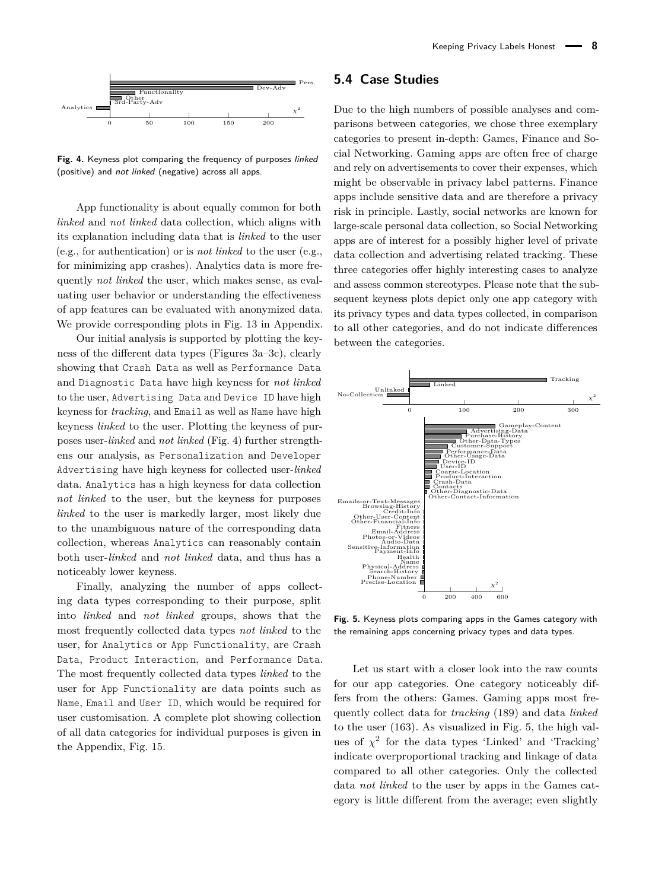<span id="page-7-0"></span>

**Fig. 4.** Keyness plot comparing the frequency of purposes linked (positive) and not linked (negative) across all apps.

App functionality is about equally common for both *linked* and *not linked* data collection, which aligns with its explanation including data that is *linked* to the user (e.g., for authentication) or is *not linked* to the user (e.g., for minimizing app crashes). Analytics data is more frequently *not linked* the user, which makes sense, as evaluating user behavior or understanding the effectiveness of app features can be evaluated with anonymized data. We provide corresponding plots in Fig. [13](#page-18-1) in Appendix.

Our initial analysis is supported by plotting the keyness of the different data types (Figures [3a–3c\)](#page-5-0), clearly showing that Crash Data as well as Performance Data and Diagnostic Data have high keyness for *not linked* to the user, Advertising Data and Device ID have high keyness for *tracking*, and Email as well as Name have high keyness *linked* to the user. Plotting the keyness of purposes user-*linked* and *not linked* (Fig. [4\)](#page-7-0) further strengthens our analysis, as Personalization and Developer Advertising have high keyness for collected user-*linked* data. Analytics has a high keyness for data collection *not linked* to the user, but the keyness for purposes *linked* to the user is markedly larger, most likely due to the unambiguous nature of the corresponding data collection, whereas Analytics can reasonably contain both user-*linked* and *not linked* data, and thus has a noticeably lower keyness.

Finally, analyzing the number of apps collecting data types corresponding to their purpose, split into *linked* and *not linked* groups, shows that the most frequently collected data types *not linked* to the user, for Analytics or App Functionality, are Crash Data, Product Interaction, and Performance Data. The most frequently collected data types *linked* to the user for App Functionality are data points such as Name, Email and User ID, which would be required for user customisation. A complete plot showing collection of all data categories for individual purposes is given in the Appendix, Fig. [15.](#page-19-0)

### **5.4 Case Studies**

Due to the high numbers of possible analyses and comparisons between categories, we chose three exemplary categories to present in-depth: Games, Finance and Social Networking. Gaming apps are often free of charge and rely on advertisements to cover their expenses, which might be observable in privacy label patterns. Finance apps include sensitive data and are therefore a privacy risk in principle. Lastly, social networks are known for large-scale personal data collection, so Social Networking apps are of interest for a possibly higher level of private data collection and advertising related tracking. These three categories offer highly interesting cases to analyze and assess common stereotypes. Please note that the subsequent keyness plots depict only one app category with its privacy types and data types collected, in comparison to all other categories, and do not indicate differences between the categories.

<span id="page-7-1"></span>

**Fig. 5.** Keyness plots comparing apps in the Games category with the remaining apps concerning privacy types and data types.

Let us start with a closer look into the raw counts for our app categories. One category noticeably differs from the others: Games. Gaming apps most frequently collect data for *tracking* (189) and data *linked* to the user (163). As visualized in Fig. [5,](#page-7-1) the high values of  $\chi^2$  for the data types 'Linked' and 'Tracking' indicate overproportional tracking and linkage of data compared to all other categories. Only the collected data *not linked* to the user by apps in the Games category is little different from the average; even slightly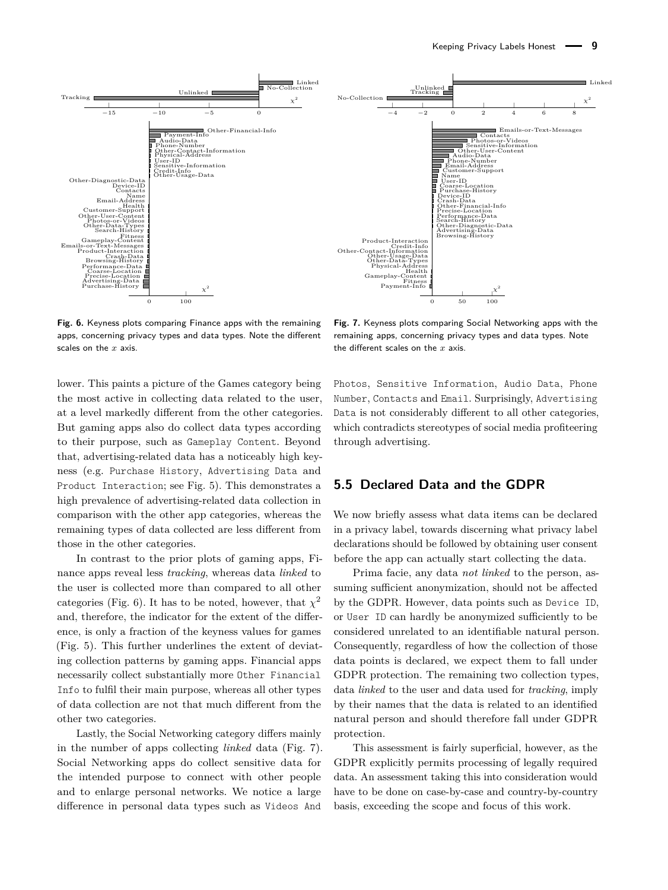<span id="page-8-0"></span>

**Fig. 6.** Keyness plots comparing Finance apps with the remaining apps, concerning privacy types and data types. Note the different scales on the *x* axis.

lower. This paints a picture of the Games category being the most active in collecting data related to the user, at a level markedly different from the other categories. But gaming apps also do collect data types according to their purpose, such as Gameplay Content. Beyond that, advertising-related data has a noticeably high keyness (e.g. Purchase History, Advertising Data and Product Interaction; see Fig. [5\)](#page-7-1). This demonstrates a high prevalence of advertising-related data collection in comparison with the other app categories, whereas the remaining types of data collected are less different from those in the other categories.

In contrast to the prior plots of gaming apps, Finance apps reveal less *tracking*, whereas data *linked* to the user is collected more than compared to all other categories (Fig. [6\)](#page-8-0). It has to be noted, however, that  $\chi^2$ and, therefore, the indicator for the extent of the difference, is only a fraction of the keyness values for games (Fig. [5\)](#page-7-1). This further underlines the extent of deviating collection patterns by gaming apps. Financial apps necessarily collect substantially more Other Financial Info to fulfil their main purpose, whereas all other types of data collection are not that much different from the other two categories.

Lastly, the Social Networking category differs mainly in the number of apps collecting *linked* data (Fig. [7\)](#page-8-1). Social Networking apps do collect sensitive data for the intended purpose to connect with other people and to enlarge personal networks. We notice a large difference in personal data types such as Videos And

<span id="page-8-1"></span>**Fig. 7.** Keyness plots comparing Social Networking apps with the remaining apps, concerning privacy types and data types. Note the different scales on the *x* axis.

Photos, Sensitive Information, Audio Data, Phone Number, Contacts and Email. Surprisingly, Advertising Data is not considerably different to all other categories, which contradicts stereotypes of social media profiteering through advertising.

## **5.5 Declared Data and the GDPR**

We now briefly assess what data items can be declared in a privacy label, towards discerning what privacy label declarations should be followed by obtaining user consent before the app can actually start collecting the data.

Prima facie, any data *not linked* to the person, assuming sufficient anonymization, should not be affected by the GDPR. However, data points such as Device ID, or User ID can hardly be anonymized sufficiently to be considered unrelated to an identifiable natural person. Consequently, regardless of how the collection of those data points is declared, we expect them to fall under GDPR protection. The remaining two collection types, data *linked* to the user and data used for *tracking*, imply by their names that the data is related to an identified natural person and should therefore fall under GDPR protection.

This assessment is fairly superficial, however, as the GDPR explicitly permits processing of legally required data. An assessment taking this into consideration would have to be done on case-by-case and country-by-country basis, exceeding the scope and focus of this work.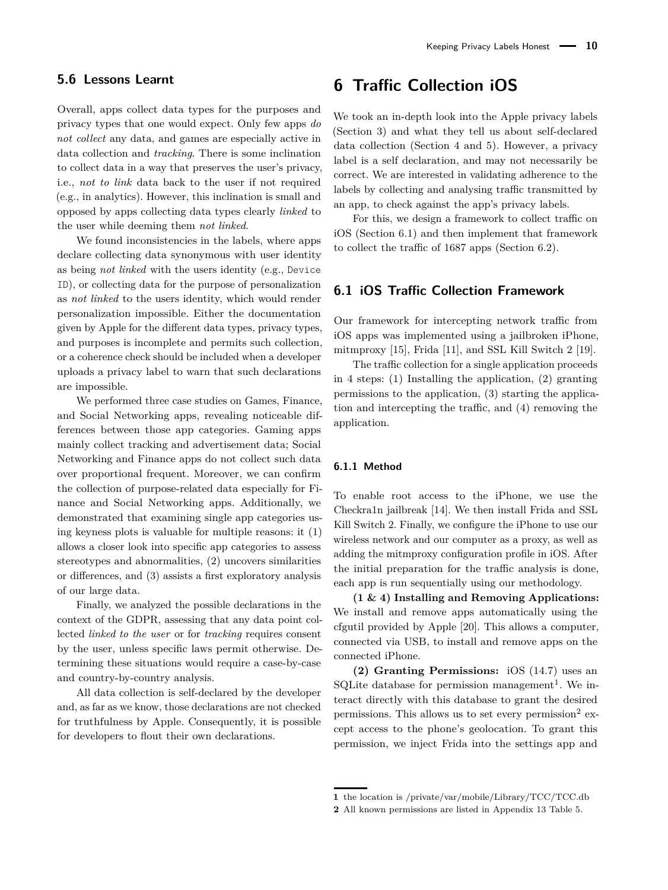#### **5.6 Lessons Learnt**

Overall, apps collect data types for the purposes and privacy types that one would expect. Only few apps *do not collect* any data, and games are especially active in data collection and *tracking*. There is some inclination to collect data in a way that preserves the user's privacy, i.e., *not to link* data back to the user if not required (e.g., in analytics). However, this inclination is small and opposed by apps collecting data types clearly *linked* to the user while deeming them *not linked*.

We found inconsistencies in the labels, where apps declare collecting data synonymous with user identity as being *not linked* with the users identity (e.g., Device ID), or collecting data for the purpose of personalization as *not linked* to the users identity, which would render personalization impossible. Either the documentation given by Apple for the different data types, privacy types, and purposes is incomplete and permits such collection, or a coherence check should be included when a developer uploads a privacy label to warn that such declarations are impossible.

We performed three case studies on Games, Finance, and Social Networking apps, revealing noticeable differences between those app categories. Gaming apps mainly collect tracking and advertisement data; Social Networking and Finance apps do not collect such data over proportional frequent. Moreover, we can confirm the collection of purpose-related data especially for Finance and Social Networking apps. Additionally, we demonstrated that examining single app categories using keyness plots is valuable for multiple reasons: it (1) allows a closer look into specific app categories to assess stereotypes and abnormalities, (2) uncovers similarities or differences, and (3) assists a first exploratory analysis of our large data.

Finally, we analyzed the possible declarations in the context of the GDPR, assessing that any data point collected *linked to the user* or for *tracking* requires consent by the user, unless specific laws permit otherwise. Determining these situations would require a case-by-case and country-by-country analysis.

All data collection is self-declared by the developer and, as far as we know, those declarations are not checked for truthfulness by Apple. Consequently, it is possible for developers to flout their own declarations.

## <span id="page-9-0"></span>**6 Traffic Collection iOS**

We took an in-depth look into the Apple privacy labels (Section [3\)](#page-1-1) and what they tell us about self-declared data collection (Section [4](#page-3-0) and [5\)](#page-6-0). However, a privacy label is a self declaration, and may not necessarily be correct. We are interested in validating adherence to the labels by collecting and analysing traffic transmitted by an app, to check against the app's privacy labels.

For this, we design a framework to collect traffic on iOS (Section [6.1\)](#page-9-1) and then implement that framework to collect the traffic of 1687 apps (Section [6.2\)](#page-10-1).

## <span id="page-9-1"></span>**6.1 iOS Traffic Collection Framework**

Our framework for intercepting network traffic from iOS apps was implemented using a jailbroken iPhone, mitmproxy [\[15\]](#page-16-17), Frida [\[11\]](#page-16-18), and SSL Kill Switch 2 [\[19\]](#page-16-19).

The traffic collection for a single application proceeds in 4 steps: (1) Installing the application, (2) granting permissions to the application, (3) starting the application and intercepting the traffic, and (4) removing the application.

#### **6.1.1 Method**

To enable root access to the iPhone, we use the Checkra1n jailbreak [\[14\]](#page-16-20). We then install Frida and SSL Kill Switch 2. Finally, we configure the iPhone to use our wireless network and our computer as a proxy, as well as adding the mitmproxy configuration profile in iOS. After the initial preparation for the traffic analysis is done, each app is run sequentially using our methodology.

**(1 & 4) Installing and Removing Applications:** We install and remove apps automatically using the cfgutil provided by Apple [\[20\]](#page-16-21). This allows a computer, connected via USB, to install and remove apps on the connected iPhone.

**(2) Granting Permissions:** iOS (14.7) uses an SQLite database for permission management<sup>[1](#page-9-2)</sup>. We interact directly with this database to grant the desired permissions. This allows us to set every permission<sup>[2](#page-9-3)</sup> except access to the phone's geolocation. To grant this permission, we inject Frida into the settings app and

<span id="page-9-2"></span>**<sup>1</sup>** the location is /private/var/mobile/Library/TCC/TCC.db

<span id="page-9-3"></span>**<sup>2</sup>** All known permissions are listed in Appendix [13](#page-17-5) Table [5.](#page-20-1)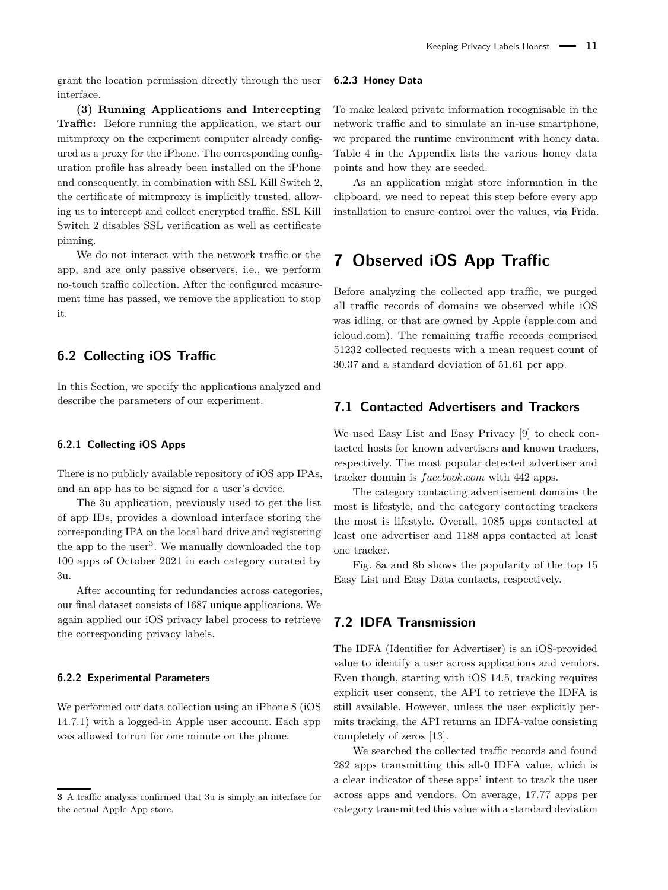grant the location permission directly through the user interface.

**(3) Running Applications and Intercepting Traffic:** Before running the application, we start our mitmproxy on the experiment computer already configured as a proxy for the iPhone. The corresponding configuration profile has already been installed on the iPhone and consequently, in combination with SSL Kill Switch 2, the certificate of mitmproxy is implicitly trusted, allowing us to intercept and collect encrypted traffic. SSL Kill Switch 2 disables SSL verification as well as certificate pinning.

We do not interact with the network traffic or the app, and are only passive observers, i.e., we perform no-touch traffic collection. After the configured measurement time has passed, we remove the application to stop it.

## <span id="page-10-1"></span>**6.2 Collecting iOS Traffic**

In this Section, we specify the applications analyzed and describe the parameters of our experiment.

#### **6.2.1 Collecting iOS Apps**

There is no publicly available repository of iOS app IPAs, and an app has to be signed for a user's device.

The 3u application, previously used to get the list of app IDs, provides a download interface storing the corresponding IPA on the local hard drive and registering the app to the user<sup>[3](#page-10-2)</sup>. We manually downloaded the top 100 apps of October 2021 in each category curated by 3u.

After accounting for redundancies across categories, our final dataset consists of 1687 unique applications. We again applied our iOS privacy label process to retrieve the corresponding privacy labels.

#### **6.2.2 Experimental Parameters**

We performed our data collection using an iPhone 8 (iOS 14.7.1) with a logged-in Apple user account. Each app was allowed to run for one minute on the phone.

### **6.2.3 Honey Data**

To make leaked private information recognisable in the network traffic and to simulate an in-use smartphone, we prepared the runtime environment with honey data. Table [4](#page-20-2) in the Appendix lists the various honey data points and how they are seeded.

As an application might store information in the clipboard, we need to repeat this step before every app installation to ensure control over the values, via Frida.

## <span id="page-10-0"></span>**7 Observed iOS App Traffic**

Before analyzing the collected app traffic, we purged all traffic records of domains we observed while iOS was idling, or that are owned by Apple (apple.com and icloud.com). The remaining traffic records comprised 51232 collected requests with a mean request count of 30.37 and a standard deviation of 51.61 per app.

## **7.1 Contacted Advertisers and Trackers**

We used Easy List and Easy Privacy [\[9\]](#page-16-22) to check contacted hosts for known advertisers and known trackers, respectively. The most popular detected advertiser and tracker domain is *f acebook.com* with 442 apps.

The category contacting advertisement domains the most is lifestyle, and the category contacting trackers the most is lifestyle. Overall, 1085 apps contacted at least one advertiser and 1188 apps contacted at least one tracker.

Fig. [8a](#page-11-0) and [8b](#page-11-0) shows the popularity of the top 15 Easy List and Easy Data contacts, respectively.

### **7.2 IDFA Transmission**

The IDFA (Identifier for Advertiser) is an iOS-provided value to identify a user across applications and vendors. Even though, starting with iOS 14.5, tracking requires explicit user consent, the API to retrieve the IDFA is still available. However, unless the user explicitly permits tracking, the API returns an IDFA-value consisting completely of zeros [\[13\]](#page-16-23).

We searched the collected traffic records and found 282 apps transmitting this all-0 IDFA value, which is a clear indicator of these apps' intent to track the user across apps and vendors. On average, 17.77 apps per category transmitted this value with a standard deviation

<span id="page-10-2"></span>**<sup>3</sup>** A traffic analysis confirmed that 3u is simply an interface for the actual Apple App store.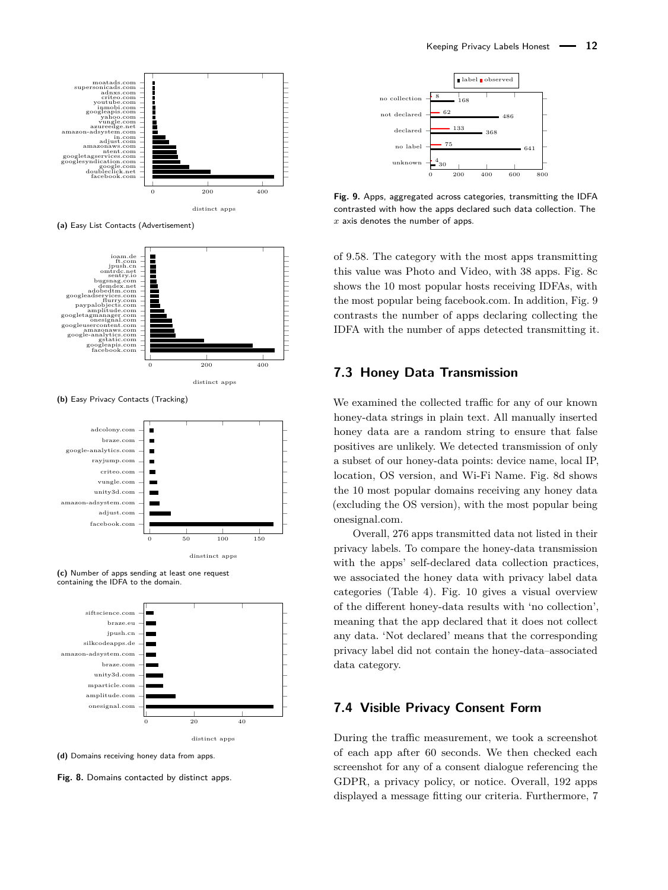<span id="page-11-0"></span>

**(a)** Easy List Contacts (Advertisement)



**(b)** Easy Privacy Contacts (Tracking)



**(c)** Number of apps sending at least one request containing the IDFA to the domain.



**(d)** Domains receiving honey data from apps.

**Fig. 8.** Domains contacted by distinct apps.

<span id="page-11-1"></span>

**Fig. 9.** Apps, aggregated across categories, transmitting the IDFA contrasted with how the apps declared such data collection. The *x* axis denotes the number of apps.

of 9.58. The category with the most apps transmitting this value was Photo and Video, with 38 apps. Fig. [8c](#page-11-0) shows the 10 most popular hosts receiving IDFAs, with the most popular being facebook.com. In addition, Fig. [9](#page-11-1) contrasts the number of apps declaring collecting the IDFA with the number of apps detected transmitting it.

## **7.3 Honey Data Transmission**

We examined the collected traffic for any of our known honey-data strings in plain text. All manually inserted honey data are a random string to ensure that false positives are unlikely. We detected transmission of only a subset of our honey-data points: device name, local IP, location, OS version, and Wi-Fi Name. Fig. [8d](#page-11-0) shows the 10 most popular domains receiving any honey data (excluding the OS version), with the most popular being onesignal.com.

Overall, 276 apps transmitted data not listed in their privacy labels. To compare the honey-data transmission with the apps' self-declared data collection practices, we associated the honey data with privacy label data categories (Table [4\)](#page-20-2). Fig. [10](#page-12-1) gives a visual overview of the different honey-data results with 'no collection', meaning that the app declared that it does not collect any data. 'Not declared' means that the corresponding privacy label did not contain the honey-data–associated data category.

### **7.4 Visible Privacy Consent Form**

During the traffic measurement, we took a screenshot of each app after 60 seconds. We then checked each screenshot for any of a consent dialogue referencing the GDPR, a privacy policy, or notice. Overall, 192 apps displayed a message fitting our criteria. Furthermore, 7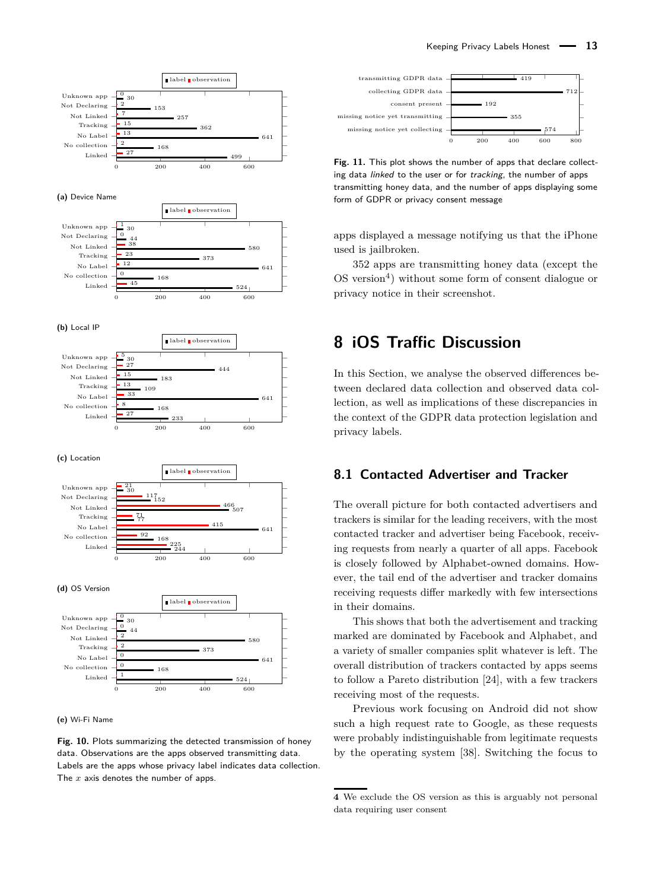<span id="page-12-1"></span>

**(e)** Wi-Fi Name

**Fig. 10.** Plots summarizing the detected transmission of honey data. Observations are the apps observed transmitting data. Labels are the apps whose privacy label indicates data collection. The *x* axis denotes the number of apps.

<span id="page-12-3"></span>

Fig. 11. This plot shows the number of apps that declare collecting data linked to the user or for tracking, the number of apps transmitting honey data, and the number of apps displaying some form of GDPR or privacy consent message

apps displayed a message notifying us that the iPhone used is jailbroken.

352 apps are transmitting honey data (except the OS version<sup>[4](#page-12-2)</sup>) without some form of consent dialogue or privacy notice in their screenshot.

## <span id="page-12-0"></span>**8 iOS Traffic Discussion**

In this Section, we analyse the observed differences between declared data collection and observed data collection, as well as implications of these discrepancies in the context of the GDPR data protection legislation and privacy labels.

## **8.1 Contacted Advertiser and Tracker**

The overall picture for both contacted advertisers and trackers is similar for the leading receivers, with the most contacted tracker and advertiser being Facebook, receiving requests from nearly a quarter of all apps. Facebook is closely followed by Alphabet-owned domains. However, the tail end of the advertiser and tracker domains receiving requests differ markedly with few intersections in their domains.

This shows that both the advertisement and tracking marked are dominated by Facebook and Alphabet, and a variety of smaller companies split whatever is left. The overall distribution of trackers contacted by apps seems to follow a Pareto distribution [\[24\]](#page-16-24), with a few trackers receiving most of the requests.

Previous work focusing on Android did not show such a high request rate to Google, as these requests were probably indistinguishable from legitimate requests by the operating system [\[38\]](#page-17-3). Switching the focus to

<span id="page-12-2"></span>**<sup>4</sup>** We exclude the OS version as this is arguably not personal data requiring user consent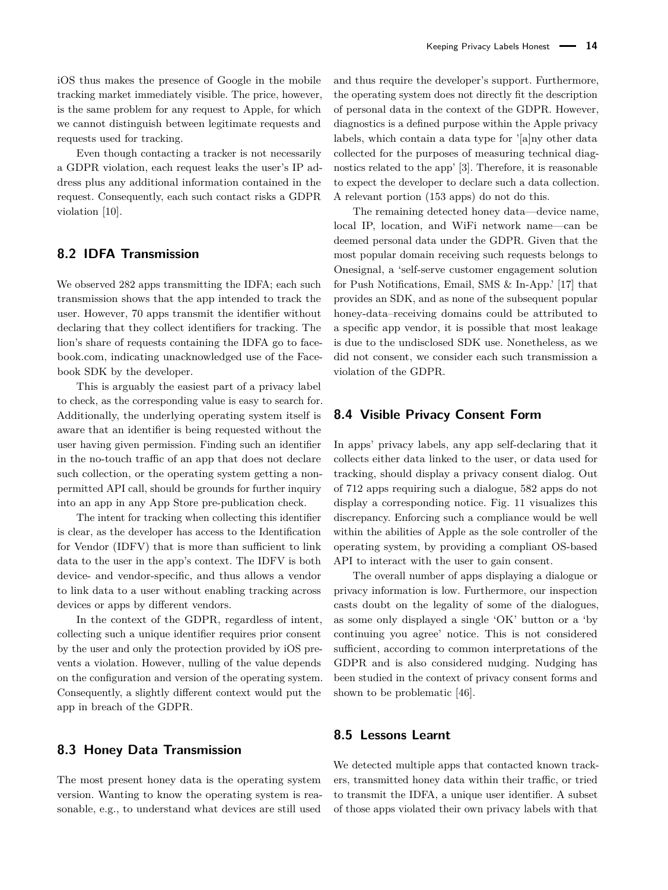iOS thus makes the presence of Google in the mobile tracking market immediately visible. The price, however, is the same problem for any request to Apple, for which we cannot distinguish between legitimate requests and requests used for tracking.

Even though contacting a tracker is not necessarily a GDPR violation, each request leaks the user's IP address plus any additional information contained in the request. Consequently, each such contact risks a GDPR violation [\[10\]](#page-16-12).

### **8.2 IDFA Transmission**

We observed 282 apps transmitting the IDFA; each such transmission shows that the app intended to track the user. However, 70 apps transmit the identifier without declaring that they collect identifiers for tracking. The lion's share of requests containing the IDFA go to facebook.com, indicating unacknowledged use of the Facebook SDK by the developer.

This is arguably the easiest part of a privacy label to check, as the corresponding value is easy to search for. Additionally, the underlying operating system itself is aware that an identifier is being requested without the user having given permission. Finding such an identifier in the no-touch traffic of an app that does not declare such collection, or the operating system getting a nonpermitted API call, should be grounds for further inquiry into an app in any App Store pre-publication check.

The intent for tracking when collecting this identifier is clear, as the developer has access to the Identification for Vendor (IDFV) that is more than sufficient to link data to the user in the app's context. The IDFV is both device- and vendor-specific, and thus allows a vendor to link data to a user without enabling tracking across devices or apps by different vendors.

In the context of the GDPR, regardless of intent, collecting such a unique identifier requires prior consent by the user and only the protection provided by iOS prevents a violation. However, nulling of the value depends on the configuration and version of the operating system. Consequently, a slightly different context would put the app in breach of the GDPR.

### **8.3 Honey Data Transmission**

The most present honey data is the operating system version. Wanting to know the operating system is reasonable, e.g., to understand what devices are still used

and thus require the developer's support. Furthermore, the operating system does not directly fit the description of personal data in the context of the GDPR. However, diagnostics is a defined purpose within the Apple privacy labels, which contain a data type for '[a]ny other data collected for the purposes of measuring technical diagnostics related to the app' [\[3\]](#page-16-5). Therefore, it is reasonable to expect the developer to declare such a data collection. A relevant portion (153 apps) do not do this.

The remaining detected honey data—device name, local IP, location, and WiFi network name—can be deemed personal data under the GDPR. Given that the most popular domain receiving such requests belongs to Onesignal, a 'self-serve customer engagement solution for Push Notifications, Email, SMS & In-App.' [\[17\]](#page-16-25) that provides an SDK, and as none of the subsequent popular honey-data–receiving domains could be attributed to a specific app vendor, it is possible that most leakage is due to the undisclosed SDK use. Nonetheless, as we did not consent, we consider each such transmission a violation of the GDPR.

### **8.4 Visible Privacy Consent Form**

In apps' privacy labels, any app self-declaring that it collects either data linked to the user, or data used for tracking, should display a privacy consent dialog. Out of 712 apps requiring such a dialogue, 582 apps do not display a corresponding notice. Fig. [11](#page-12-3) visualizes this discrepancy. Enforcing such a compliance would be well within the abilities of Apple as the sole controller of the operating system, by providing a compliant OS-based API to interact with the user to gain consent.

The overall number of apps displaying a dialogue or privacy information is low. Furthermore, our inspection casts doubt on the legality of some of the dialogues, as some only displayed a single 'OK' button or a 'by continuing you agree' notice. This is not considered sufficient, according to common interpretations of the GDPR and is also considered nudging. Nudging has been studied in the context of privacy consent forms and shown to be problematic [\[46\]](#page-17-6).

### **8.5 Lessons Learnt**

We detected multiple apps that contacted known trackers, transmitted honey data within their traffic, or tried to transmit the IDFA, a unique user identifier. A subset of those apps violated their own privacy labels with that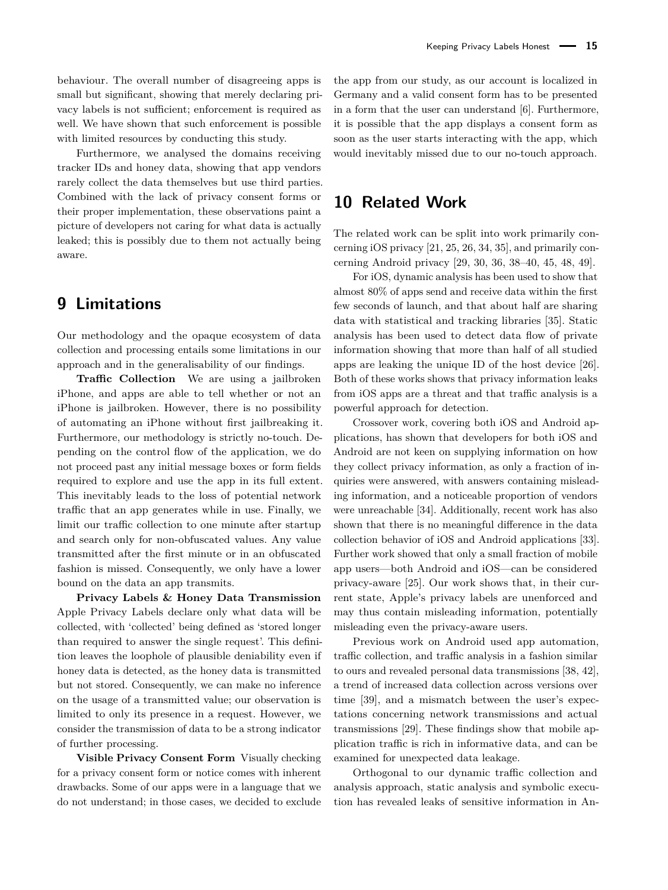behaviour. The overall number of disagreeing apps is small but significant, showing that merely declaring privacy labels is not sufficient; enforcement is required as well. We have shown that such enforcement is possible with limited resources by conducting this study.

Furthermore, we analysed the domains receiving tracker IDs and honey data, showing that app vendors rarely collect the data themselves but use third parties. Combined with the lack of privacy consent forms or their proper implementation, these observations paint a picture of developers not caring for what data is actually leaked; this is possibly due to them not actually being aware.

## <span id="page-14-0"></span>**9 Limitations**

Our methodology and the opaque ecosystem of data collection and processing entails some limitations in our approach and in the generalisability of our findings.

**Traffic Collection** We are using a jailbroken iPhone, and apps are able to tell whether or not an iPhone is jailbroken. However, there is no possibility of automating an iPhone without first jailbreaking it. Furthermore, our methodology is strictly no-touch. Depending on the control flow of the application, we do not proceed past any initial message boxes or form fields required to explore and use the app in its full extent. This inevitably leads to the loss of potential network traffic that an app generates while in use. Finally, we limit our traffic collection to one minute after startup and search only for non-obfuscated values. Any value transmitted after the first minute or in an obfuscated fashion is missed. Consequently, we only have a lower bound on the data an app transmits.

**Privacy Labels & Honey Data Transmission** Apple Privacy Labels declare only what data will be collected, with 'collected' being defined as 'stored longer than required to answer the single request'. This definition leaves the loophole of plausible deniability even if honey data is detected, as the honey data is transmitted but not stored. Consequently, we can make no inference on the usage of a transmitted value; our observation is limited to only its presence in a request. However, we consider the transmission of data to be a strong indicator of further processing.

**Visible Privacy Consent Form** Visually checking for a privacy consent form or notice comes with inherent drawbacks. Some of our apps were in a language that we do not understand; in those cases, we decided to exclude

the app from our study, as our account is localized in Germany and a valid consent form has to be presented in a form that the user can understand [\[6\]](#page-16-26). Furthermore, it is possible that the app displays a consent form as soon as the user starts interacting with the app, which would inevitably missed due to our no-touch approach.

## <span id="page-14-1"></span>**10 Related Work**

The related work can be split into work primarily concerning iOS privacy [\[21,](#page-16-27) [25,](#page-16-28) [26,](#page-16-29) [34,](#page-16-30) [35\]](#page-16-31), and primarily concerning Android privacy [\[29,](#page-16-32) [30,](#page-16-33) [36,](#page-16-34) [38–](#page-17-3)[40,](#page-17-7) [45,](#page-17-8) [48,](#page-17-9) [49\]](#page-17-10).

For iOS, dynamic analysis has been used to show that almost 80% of apps send and receive data within the first few seconds of launch, and that about half are sharing data with statistical and tracking libraries [\[35\]](#page-16-31). Static analysis has been used to detect data flow of private information showing that more than half of all studied apps are leaking the unique ID of the host device [\[26\]](#page-16-29). Both of these works shows that privacy information leaks from iOS apps are a threat and that traffic analysis is a powerful approach for detection.

Crossover work, covering both iOS and Android applications, has shown that developers for both iOS and Android are not keen on supplying information on how they collect privacy information, as only a fraction of inquiries were answered, with answers containing misleading information, and a noticeable proportion of vendors were unreachable [\[34\]](#page-16-30). Additionally, recent work has also shown that there is no meaningful difference in the data collection behavior of iOS and Android applications [\[33\]](#page-16-35). Further work showed that only a small fraction of mobile app users—both Android and iOS—can be considered privacy-aware [\[25\]](#page-16-28). Our work shows that, in their current state, Apple's privacy labels are unenforced and may thus contain misleading information, potentially misleading even the privacy-aware users.

Previous work on Android used app automation, traffic collection, and traffic analysis in a fashion similar to ours and revealed personal data transmissions [\[38,](#page-17-3) [42\]](#page-17-11), a trend of increased data collection across versions over time [\[39\]](#page-17-12), and a mismatch between the user's expectations concerning network transmissions and actual transmissions [\[29\]](#page-16-32). These findings show that mobile application traffic is rich in informative data, and can be examined for unexpected data leakage.

Orthogonal to our dynamic traffic collection and analysis approach, static analysis and symbolic execution has revealed leaks of sensitive information in An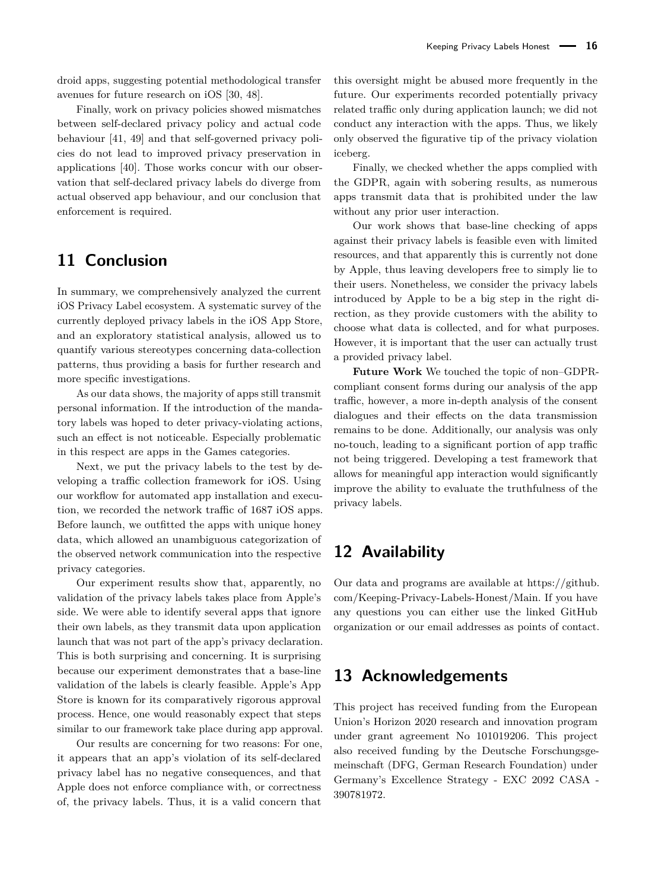droid apps, suggesting potential methodological transfer avenues for future research on iOS [\[30,](#page-16-33) [48\]](#page-17-9).

Finally, work on privacy policies showed mismatches between self-declared privacy policy and actual code behaviour [\[41,](#page-17-13) [49\]](#page-17-10) and that self-governed privacy policies do not lead to improved privacy preservation in applications [\[40\]](#page-17-7). Those works concur with our observation that self-declared privacy labels do diverge from actual observed app behaviour, and our conclusion that enforcement is required.

## <span id="page-15-0"></span>**11 Conclusion**

In summary, we comprehensively analyzed the current iOS Privacy Label ecosystem. A systematic survey of the currently deployed privacy labels in the iOS App Store, and an exploratory statistical analysis, allowed us to quantify various stereotypes concerning data-collection patterns, thus providing a basis for further research and more specific investigations.

As our data shows, the majority of apps still transmit personal information. If the introduction of the mandatory labels was hoped to deter privacy-violating actions, such an effect is not noticeable. Especially problematic in this respect are apps in the Games categories.

Next, we put the privacy labels to the test by developing a traffic collection framework for iOS. Using our workflow for automated app installation and execution, we recorded the network traffic of 1687 iOS apps. Before launch, we outfitted the apps with unique honey data, which allowed an unambiguous categorization of the observed network communication into the respective privacy categories.

Our experiment results show that, apparently, no validation of the privacy labels takes place from Apple's side. We were able to identify several apps that ignore their own labels, as they transmit data upon application launch that was not part of the app's privacy declaration. This is both surprising and concerning. It is surprising because our experiment demonstrates that a base-line validation of the labels is clearly feasible. Apple's App Store is known for its comparatively rigorous approval process. Hence, one would reasonably expect that steps similar to our framework take place during app approval.

Our results are concerning for two reasons: For one, it appears that an app's violation of its self-declared privacy label has no negative consequences, and that Apple does not enforce compliance with, or correctness of, the privacy labels. Thus, it is a valid concern that

this oversight might be abused more frequently in the future. Our experiments recorded potentially privacy related traffic only during application launch; we did not conduct any interaction with the apps. Thus, we likely only observed the figurative tip of the privacy violation iceberg.

Finally, we checked whether the apps complied with the GDPR, again with sobering results, as numerous apps transmit data that is prohibited under the law without any prior user interaction.

Our work shows that base-line checking of apps against their privacy labels is feasible even with limited resources, and that apparently this is currently not done by Apple, thus leaving developers free to simply lie to their users. Nonetheless, we consider the privacy labels introduced by Apple to be a big step in the right direction, as they provide customers with the ability to choose what data is collected, and for what purposes. However, it is important that the user can actually trust a provided privacy label.

**Future Work** We touched the topic of non–GDPRcompliant consent forms during our analysis of the app traffic, however, a more in-depth analysis of the consent dialogues and their effects on the data transmission remains to be done. Additionally, our analysis was only no-touch, leading to a significant portion of app traffic not being triggered. Developing a test framework that allows for meaningful app interaction would significantly improve the ability to evaluate the truthfulness of the privacy labels.

## **12 Availability**

Our data and programs are available at [https://github.](https://github.com/Keeping-Privacy-Labels-Honest/Main) [com/Keeping-Privacy-Labels-Honest/Main.](https://github.com/Keeping-Privacy-Labels-Honest/Main) If you have any questions you can either use the linked GitHub organization or our email addresses as points of contact.

## **13 Acknowledgements**

This project has received funding from the European Union's Horizon 2020 research and innovation program under grant agreement No 101019206. This project also received funding by the Deutsche Forschungsgemeinschaft (DFG, German Research Foundation) under Germany's Excellence Strategy - EXC 2092 CASA - 390781972.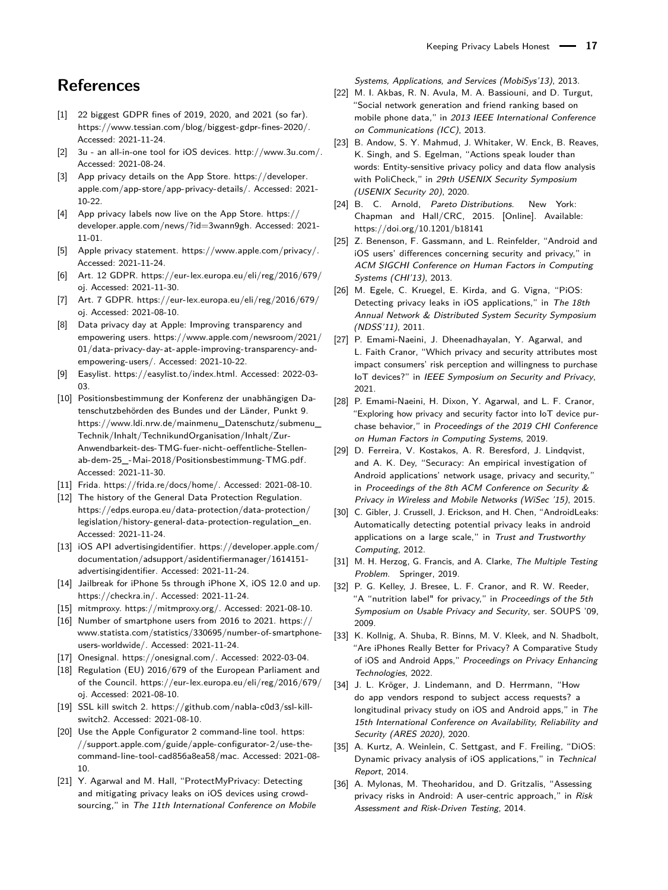## **References**

- <span id="page-16-3"></span>[1] 22 biggest GDPR fines of 2019, 2020, and 2021 (so far). [https://www.tessian.com/blog/biggest-gdpr-fines-2020/.](https://www.tessian.com/blog/biggest-gdpr-fines-2020/) Accessed: 2021-11-24.
- <span id="page-16-15"></span>[2] 3u - an all-in-one tool for iOS devices. [http://www.3u.com/.](http://www.3u.com/) Accessed: 2021-08-24.
- <span id="page-16-5"></span>[3] App privacy details on the App Store. [https://developer.](https://developer.apple.com/app-store/app-privacy-details/) [apple.com/app-store/app-privacy-details/.](https://developer.apple.com/app-store/app-privacy-details/) Accessed: 2021- 10-22.
- <span id="page-16-14"></span>[4] App privacy labels now live on the App Store. [https://](https://developer.apple.com/news/?id=3wann9gh) [developer.apple.com/news/?id=3wann9gh.](https://developer.apple.com/news/?id=3wann9gh) Accessed: 2021- 11-01.
- <span id="page-16-4"></span>[5] Apple privacy statement. [https://www.apple.com/privacy/.](https://www.apple.com/privacy/) Accessed: 2021-11-24.
- <span id="page-16-26"></span>[6] Art. 12 GDPR. [https://eur-lex.europa.eu/eli/reg/2016/679/](https://eur-lex.europa.eu/eli/reg/2016/679/oj) [oj.](https://eur-lex.europa.eu/eli/reg/2016/679/oj) Accessed: 2021-11-30.
- <span id="page-16-13"></span>[7] Art. 7 GDPR. [https://eur-lex.europa.eu/eli/reg/2016/679/](https://eur-lex.europa.eu/eli/reg/2016/679/oj) [oj.](https://eur-lex.europa.eu/eli/reg/2016/679/oj) Accessed: 2021-08-10.
- <span id="page-16-6"></span>[8] Data privacy day at Apple: Improving transparency and empowering users. [https://www.apple.com/newsroom/2021/](https://www.apple.com/newsroom/2021/01/data-privacy-day-at-apple-improving-transparency-and-empowering-users/) [01/data-privacy-day-at-apple-improving-transparency-and](https://www.apple.com/newsroom/2021/01/data-privacy-day-at-apple-improving-transparency-and-empowering-users/)[empowering-users/.](https://www.apple.com/newsroom/2021/01/data-privacy-day-at-apple-improving-transparency-and-empowering-users/) Accessed: 2021-10-22.
- <span id="page-16-22"></span>[9] Easylist. [https://easylist.to/index.html.](https://easylist.to/index.html) Accessed: 2022-03- 03.
- <span id="page-16-12"></span>[10] Positionsbestimmung der Konferenz der unabhängigen Datenschutzbehörden des Bundes und der Länder, Punkt 9. [https://www.ldi.nrw.de/mainmenu\\_Datenschutz/submenu\\_](https://www.ldi.nrw.de/mainmenu_Datenschutz/submenu_Technik/Inhalt/TechnikundOrganisation/Inhalt/Zur-Anwendbarkeit-des-TMG-fuer-nicht-oeffentliche-Stellen-ab-dem-25_-Mai-2018/Positionsbestimmung-TMG.pdf) [Technik/Inhalt/TechnikundOrganisation/Inhalt/Zur-](https://www.ldi.nrw.de/mainmenu_Datenschutz/submenu_Technik/Inhalt/TechnikundOrganisation/Inhalt/Zur-Anwendbarkeit-des-TMG-fuer-nicht-oeffentliche-Stellen-ab-dem-25_-Mai-2018/Positionsbestimmung-TMG.pdf)[Anwendbarkeit-des-TMG-fuer-nicht-oeffentliche-Stellen](https://www.ldi.nrw.de/mainmenu_Datenschutz/submenu_Technik/Inhalt/TechnikundOrganisation/Inhalt/Zur-Anwendbarkeit-des-TMG-fuer-nicht-oeffentliche-Stellen-ab-dem-25_-Mai-2018/Positionsbestimmung-TMG.pdf)[ab-dem-25\\_-Mai-2018/Positionsbestimmung-TMG.pdf.](https://www.ldi.nrw.de/mainmenu_Datenschutz/submenu_Technik/Inhalt/TechnikundOrganisation/Inhalt/Zur-Anwendbarkeit-des-TMG-fuer-nicht-oeffentliche-Stellen-ab-dem-25_-Mai-2018/Positionsbestimmung-TMG.pdf) Accessed: 2021-11-30.
- <span id="page-16-18"></span>[11] Frida. [https://frida.re/docs/home/.](https://frida.re/docs/home/) Accessed: 2021-08-10.
- <span id="page-16-2"></span>[12] The history of the General Data Protection Regulation. [https://edps.europa.eu/data-protection/data-protection/](https://edps.europa.eu/data-protection/data-protection/legislation/history-general-data-protection-regulation_en) [legislation/history-general-data-protection-regulation\\_en.](https://edps.europa.eu/data-protection/data-protection/legislation/history-general-data-protection-regulation_en) Accessed: 2021-11-24.
- <span id="page-16-23"></span>[13] iOS API advertisingidentifier. [https://developer.apple.com/](https://developer.apple.com/documentation/adsupport/asidentifiermanager/1614151-advertisingidentifier) [documentation/adsupport/asidentifiermanager/1614151](https://developer.apple.com/documentation/adsupport/asidentifiermanager/1614151-advertisingidentifier) [advertisingidentifier.](https://developer.apple.com/documentation/adsupport/asidentifiermanager/1614151-advertisingidentifier) Accessed: 2021-11-24.
- <span id="page-16-20"></span>[14] Jailbreak for iPhone 5s through iPhone X, iOS 12.0 and up. [https://checkra.in/.](https://checkra.in/) Accessed: 2021-11-24.
- <span id="page-16-17"></span>[15] mitmproxy. [https://mitmproxy.org/.](https://mitmproxy.org/) Accessed: 2021-08-10.
- <span id="page-16-0"></span>[16] Number of smartphone users from 2016 to 2021. [https://](https://www.statista.com/statistics/330695/number-of-smartphone-users-worldwide/) [www.statista.com/statistics/330695/number-of-smartphone](https://www.statista.com/statistics/330695/number-of-smartphone-users-worldwide/)[users-worldwide/.](https://www.statista.com/statistics/330695/number-of-smartphone-users-worldwide/) Accessed: 2021-11-24.
- <span id="page-16-25"></span>[17] Onesignal. [https://onesignal.com/.](https://onesignal.com/) Accessed: 2022-03-04.
- <span id="page-16-10"></span>[18] Regulation (EU) 2016/679 of the European Parliament and of the Council. [https://eur-lex.europa.eu/eli/reg/2016/679/](https://eur-lex.europa.eu/eli/reg/2016/679/oj) [oj.](https://eur-lex.europa.eu/eli/reg/2016/679/oj) Accessed: 2021-08-10.
- <span id="page-16-19"></span>[19] SSL kill switch 2. [https://github.com/nabla-c0d3/ssl-kill](https://github.com/nabla-c0d3/ssl-kill-switch2)[switch2.](https://github.com/nabla-c0d3/ssl-kill-switch2) Accessed: 2021-08-10.
- <span id="page-16-21"></span>[20] Use the Apple Configurator 2 command-line tool. [https:](https://support.apple.com/guide/apple-configurator-2/use-the-command-line-tool-cad856a8ea58/mac) [//support.apple.com/guide/apple-configurator-2/use-the](https://support.apple.com/guide/apple-configurator-2/use-the-command-line-tool-cad856a8ea58/mac)[command-line-tool-cad856a8ea58/mac.](https://support.apple.com/guide/apple-configurator-2/use-the-command-line-tool-cad856a8ea58/mac) Accessed: 2021-08- 10.
- <span id="page-16-27"></span>[21] Y. Agarwal and M. Hall, "ProtectMyPrivacy: Detecting and mitigating privacy leaks on iOS devices using crowdsourcing," in The 11th International Conference on Mobile

Systems, Applications, and Services (MobiSys'13), 2013.

- <span id="page-16-1"></span>[22] M. I. Akbas, R. N. Avula, M. A. Bassiouni, and D. Turgut, "Social network generation and friend ranking based on mobile phone data," in 2013 IEEE International Conference on Communications (ICC), 2013.
- <span id="page-16-11"></span>[23] B. Andow, S. Y. Mahmud, J. Whitaker, W. Enck, B. Reaves, K. Singh, and S. Egelman, "Actions speak louder than words: Entity-sensitive privacy policy and data flow analysis with PoliCheck," in 29th USENIX Security Symposium (USENIX Security 20), 2020.
- <span id="page-16-24"></span>[24] B. C. Arnold, Pareto Distributions. New York: Chapman and Hall/CRC, 2015. [Online]. Available: <https://doi.org/10.1201/b18141>
- <span id="page-16-28"></span>[25] Z. Benenson, F. Gassmann, and L. Reinfelder, "Android and iOS users' differences concerning security and privacy," in ACM SIGCHI Conference on Human Factors in Computing Systems (CHI'13), 2013.
- <span id="page-16-29"></span>[26] M. Egele, C. Kruegel, E. Kirda, and G. Vigna, "PiOS: Detecting privacy leaks in iOS applications," in The 18th Annual Network & Distributed System Security Symposium (NDSS'11), 2011.
- <span id="page-16-8"></span>[27] P. Emami-Naeini, J. Dheenadhayalan, Y. Agarwal, and L. Faith Cranor, "Which privacy and security attributes most impact consumers' risk perception and willingness to purchase IoT devices?" in IEEE Symposium on Security and Privacy, 2021.
- <span id="page-16-9"></span>[28] P. Emami-Naeini, H. Dixon, Y. Agarwal, and L. F. Cranor, "Exploring how privacy and security factor into IoT device purchase behavior," in Proceedings of the 2019 CHI Conference on Human Factors in Computing Systems, 2019.
- <span id="page-16-32"></span>[29] D. Ferreira, V. Kostakos, A. R. Beresford, J. Lindqvist, and A. K. Dey, "Securacy: An empirical investigation of Android applications' network usage, privacy and security," in Proceedings of the 8th ACM Conference on Security & Privacy in Wireless and Mobile Networks (WiSec '15), 2015.
- <span id="page-16-33"></span>[30] C. Gibler, J. Crussell, J. Erickson, and H. Chen, "AndroidLeaks: Automatically detecting potential privacy leaks in android applications on a large scale," in Trust and Trustworthy Computing, 2012.
- <span id="page-16-16"></span>[31] M. H. Herzog, G. Francis, and A. Clarke, The Multiple Testing Problem. Springer, 2019.
- <span id="page-16-7"></span>[32] P. G. Kelley, J. Bresee, L. F. Cranor, and R. W. Reeder, "A "nutrition label" for privacy," in Proceedings of the 5th Symposium on Usable Privacy and Security, ser. SOUPS '09, 2009.
- <span id="page-16-35"></span>[33] K. Kollnig, A. Shuba, R. Binns, M. V. Kleek, and N. Shadbolt, "Are iPhones Really Better for Privacy? A Comparative Study of iOS and Android Apps," Proceedings on Privacy Enhancing Technologies, 2022.
- <span id="page-16-30"></span>[34] J. L. Kröger, J. Lindemann, and D. Herrmann, "How do app vendors respond to subject access requests? a longitudinal privacy study on iOS and Android apps," in The 15th International Conference on Availability, Reliability and Security (ARES 2020), 2020.
- <span id="page-16-31"></span>[35] A. Kurtz, A. Weinlein, C. Settgast, and F. Freiling, "DiOS: Dynamic privacy analysis of iOS applications," in Technical Report, 2014.
- <span id="page-16-34"></span>[36] A. Mylonas, M. Theoharidou, and D. Gritzalis, "Assessing privacy risks in Android: A user-centric approach," in Risk Assessment and Risk-Driven Testing, 2014.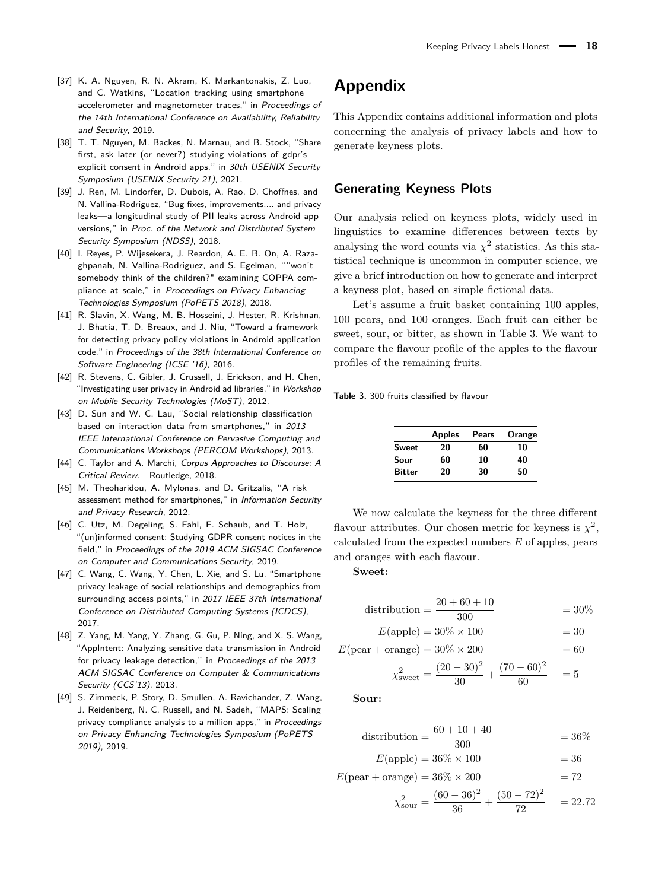- <span id="page-17-1"></span>[37] K. A. Nguyen, R. N. Akram, K. Markantonakis, Z. Luo, and C. Watkins, "Location tracking using smartphone accelerometer and magnetometer traces," in Proceedings of the 14th International Conference on Availability, Reliability and Security, 2019.
- <span id="page-17-3"></span>[38] T. T. Nguyen, M. Backes, N. Marnau, and B. Stock, "Share first, ask later (or never?) studying violations of gdpr's explicit consent in Android apps," in 30th USENIX Security Symposium (USENIX Security 21), 2021.
- <span id="page-17-12"></span>[39] J. Ren, M. Lindorfer, D. Dubois, A. Rao, D. Choffnes, and N. Vallina-Rodriguez, "Bug fixes, improvements,... and privacy leaks—a longitudinal study of PII leaks across Android app versions," in Proc. of the Network and Distributed System Security Symposium (NDSS), 2018.
- <span id="page-17-7"></span>[40] I. Reyes, P. Wijesekera, J. Reardon, A. E. B. On, A. Razaghpanah, N. Vallina-Rodriguez, and S. Egelman, ""won't somebody think of the children?" examining COPPA compliance at scale," in Proceedings on Privacy Enhancing Technologies Symposium (PoPETS 2018), 2018.
- <span id="page-17-13"></span>[41] R. Slavin, X. Wang, M. B. Hosseini, J. Hester, R. Krishnan, J. Bhatia, T. D. Breaux, and J. Niu, "Toward a framework for detecting privacy policy violations in Android application code," in Proceedings of the 38th International Conference on Software Engineering (ICSE '16), 2016.
- <span id="page-17-11"></span>[42] R. Stevens, C. Gibler, J. Crussell, J. Erickson, and H. Chen, "Investigating user privacy in Android ad libraries," in Workshop on Mobile Security Technologies (MoST), 2012.
- <span id="page-17-0"></span>[43] D. Sun and W. C. Lau, "Social relationship classification based on interaction data from smartphones," in 2013 IEEE International Conference on Pervasive Computing and Communications Workshops (PERCOM Workshops), 2013.
- <span id="page-17-4"></span>[44] C. Taylor and A. Marchi, Corpus Approaches to Discourse: A Critical Review. Routledge, 2018.
- <span id="page-17-8"></span>[45] M. Theoharidou, A. Mylonas, and D. Gritzalis, "A risk assessment method for smartphones," in Information Security and Privacy Research, 2012.
- <span id="page-17-6"></span>[46] C. Utz, M. Degeling, S. Fahl, F. Schaub, and T. Holz, "(un)informed consent: Studying GDPR consent notices in the field," in Proceedings of the 2019 ACM SIGSAC Conference on Computer and Communications Security, 2019.
- <span id="page-17-2"></span>[47] C. Wang, C. Wang, Y. Chen, L. Xie, and S. Lu, "Smartphone privacy leakage of social relationships and demographics from surrounding access points," in 2017 IEEE 37th International Conference on Distributed Computing Systems (ICDCS), 2017.
- <span id="page-17-9"></span>[48] Z. Yang, M. Yang, Y. Zhang, G. Gu, P. Ning, and X. S. Wang, "AppIntent: Analyzing sensitive data transmission in Android for privacy leakage detection," in Proceedings of the 2013 ACM SIGSAC Conference on Computer & Communications Security (CCS'13), 2013.
- <span id="page-17-10"></span>[49] S. Zimmeck, P. Story, D. Smullen, A. Ravichander, Z. Wang, J. Reidenberg, N. C. Russell, and N. Sadeh, "MAPS: Scaling privacy compliance analysis to a million apps," in Proceedings on Privacy Enhancing Technologies Symposium (PoPETS 2019), 2019.

## <span id="page-17-5"></span>**Appendix**

This Appendix contains additional information and plots concerning the analysis of privacy labels and how to generate keyness plots.

## **Generating Keyness Plots**

Our analysis relied on keyness plots, widely used in linguistics to examine differences between texts by analysing the word counts via  $\chi^2$  statistics. As this statistical technique is uncommon in computer science, we give a brief introduction on how to generate and interpret a keyness plot, based on simple fictional data.

Let's assume a fruit basket containing 100 apples, 100 pears, and 100 oranges. Each fruit can either be sweet, sour, or bitter, as shown in Table [3.](#page-17-14) We want to compare the flavour profile of the apples to the flavour profiles of the remaining fruits.

<span id="page-17-14"></span>**Table 3.** 300 fruits classified by flavour

|               | <b>Apples</b> | Pears | Orange |
|---------------|---------------|-------|--------|
| Sweet         | 20            | 60    | 10     |
| Sour          | 60            | 10    | 40     |
| <b>Bitter</b> | 20            | 30    | 50     |

We now calculate the keyness for the three different flavour attributes. Our chosen metric for keyness is  $\chi^2$ , calculated from the expected numbers *E* of apples, pears and oranges with each flavour.

**Sweet:**

$$
distribution = \frac{20 + 60 + 10}{300} = 30\%
$$

$$
E(\text{apple}) = 30\% \times 100 = 30
$$

 $E(\text{pear} + \text{orange}) = 30\% \times 200 = 60$ 

$$
\chi^2_{\text{sweet}} = \frac{(20 - 30)^2}{30} + \frac{(70 - 60)^2}{60} = 5
$$

**Sour:**

distribution = 
$$
\frac{60 + 10 + 40}{300} = 36\%
$$

$$
E(\text{apple}) = 36\% \times 100 = 36
$$

$$
E(\text{pear} + \text{orange}) = 36\% \times 200 = 72
$$

$$
\chi_{\text{sour}}^2 = \frac{(60 - 36)^2}{36} + \frac{(50 - 72)^2}{72} = 22.72
$$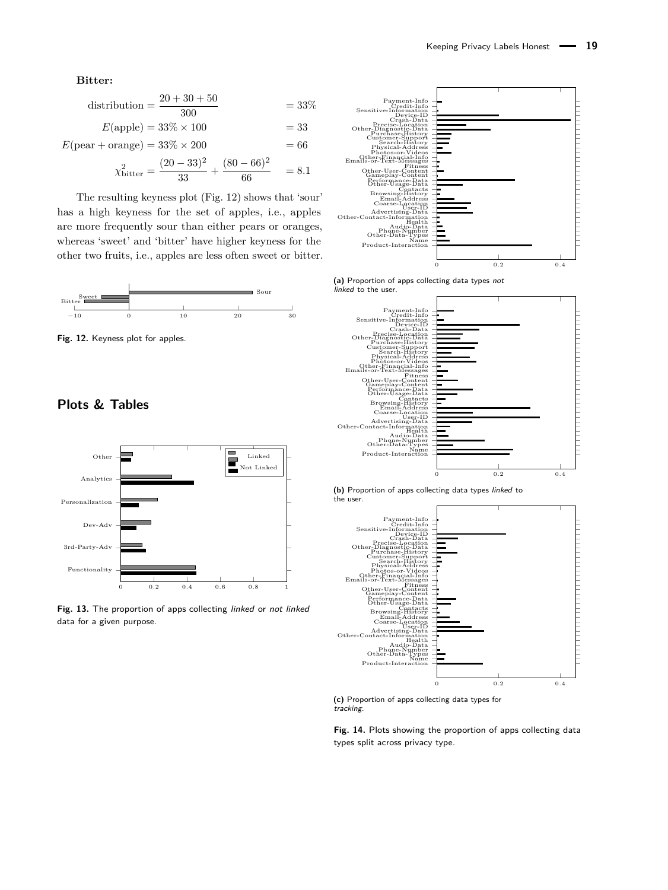#### **Bitter:**

$$
distribution = \frac{20 + 30 + 50}{300} = 33\%
$$

$$
E(\text{apple}) = 33\% \times 100 = 33
$$

 $E(\text{pear} + \text{orange}) = 33\% \times 200 = 66$ 

$$
\chi^2_{\text{bitter}} = \frac{(20 - 33)^2}{33} + \frac{(80 - 66)^2}{66} = 8.1
$$

The resulting keyness plot (Fig. [12\)](#page-18-2) shows that 'sour' has a high keyness for the set of apples, i.e., apples are more frequently sour than either pears or oranges, whereas 'sweet' and 'bitter' have higher keyness for the other two fruits, i.e., apples are less often sweet or bitter.

<span id="page-18-2"></span>

**Fig. 12.** Keyness plot for apples.

## **Plots & Tables**

<span id="page-18-1"></span>

**Fig. 13.** The proportion of apps collecting linked or not linked data for a given purpose.

<span id="page-18-0"></span>

**(a)** Proportion of apps collecting data types not linked to the user.







**(c)** Proportion of apps collecting data types for tracking.

**Fig. 14.** Plots showing the proportion of apps collecting data types split across privacy type.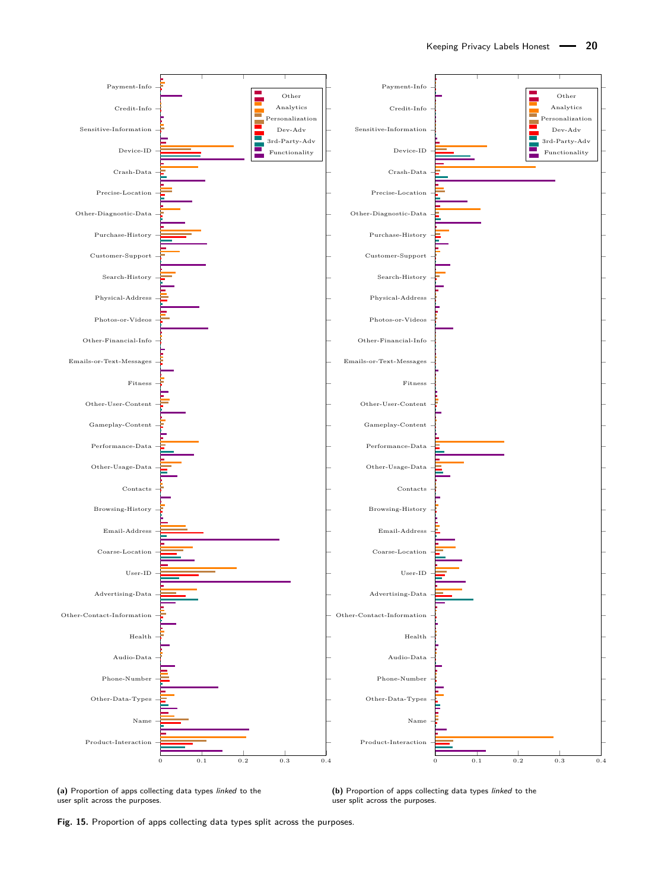<span id="page-19-0"></span>

**(a)** Proportion of apps collecting data types linked to the user split across the purposes.

**(b)** Proportion of apps collecting data types linked to the user split across the purposes.

**Fig. 15.** Proportion of apps collecting data types split across the purposes.